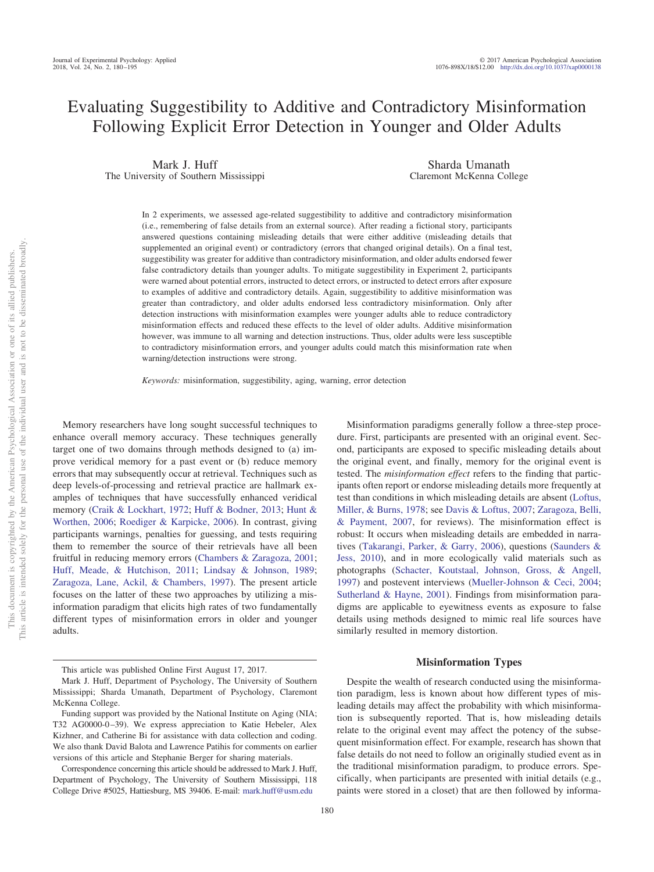# Evaluating Suggestibility to Additive and Contradictory Misinformation Following Explicit Error Detection in Younger and Older Adults

Mark J. Huff The University of Southern Mississippi

Sharda Umanath Claremont McKenna College

In 2 experiments, we assessed age-related suggestibility to additive and contradictory misinformation (i.e., remembering of false details from an external source). After reading a fictional story, participants answered questions containing misleading details that were either additive (misleading details that supplemented an original event) or contradictory (errors that changed original details). On a final test, suggestibility was greater for additive than contradictory misinformation, and older adults endorsed fewer false contradictory details than younger adults. To mitigate suggestibility in Experiment 2, participants were warned about potential errors, instructed to detect errors, or instructed to detect errors after exposure to examples of additive and contradictory details. Again, suggestibility to additive misinformation was greater than contradictory, and older adults endorsed less contradictory misinformation. Only after detection instructions with misinformation examples were younger adults able to reduce contradictory misinformation effects and reduced these effects to the level of older adults. Additive misinformation however, was immune to all warning and detection instructions. Thus, older adults were less susceptible to contradictory misinformation errors, and younger adults could match this misinformation rate when warning/detection instructions were strong.

*Keywords:* misinformation, suggestibility, aging, warning, error detection

Memory researchers have long sought successful techniques to enhance overall memory accuracy. These techniques generally target one of two domains through methods designed to (a) improve veridical memory for a past event or (b) reduce memory errors that may subsequently occur at retrieval. Techniques such as deep levels-of-processing and retrieval practice are hallmark examples of techniques that have successfully enhanced veridical memory [\(Craik & Lockhart, 1972;](#page-10-0) [Huff & Bodner, 2013;](#page-11-0) [Hunt &](#page-11-1) [Worthen, 2006;](#page-11-1) [Roediger & Karpicke, 2006\)](#page-11-2). In contrast, giving participants warnings, penalties for guessing, and tests requiring them to remember the source of their retrievals have all been fruitful in reducing memory errors [\(Chambers & Zaragoza, 2001;](#page-10-1) [Huff, Meade, & Hutchison, 2011;](#page-11-3) [Lindsay & Johnson, 1989;](#page-11-4) [Zaragoza, Lane, Ackil, & Chambers, 1997\)](#page-12-0). The present article focuses on the latter of these two approaches by utilizing a misinformation paradigm that elicits high rates of two fundamentally different types of misinformation errors in older and younger adults.

Misinformation paradigms generally follow a three-step procedure. First, participants are presented with an original event. Second, participants are exposed to specific misleading details about the original event, and finally, memory for the original event is tested. The *misinformation effect* refers to the finding that participants often report or endorse misleading details more frequently at test than conditions in which misleading details are absent [\(Loftus,](#page-11-5) [Miller, & Burns, 1978;](#page-11-5) see [Davis & Loftus, 2007;](#page-10-2) [Zaragoza, Belli,](#page-12-1) [& Payment, 2007,](#page-12-1) for reviews). The misinformation effect is robust: It occurs when misleading details are embedded in narratives [\(Takarangi, Parker, & Garry, 2006\)](#page-12-2), questions [\(Saunders &](#page-12-3) [Jess, 2010\)](#page-12-3), and in more ecologically valid materials such as photographs [\(Schacter, Koutstaal, Johnson, Gross, & Angell,](#page-12-4) [1997\)](#page-12-4) and postevent interviews [\(Mueller-Johnson & Ceci, 2004;](#page-11-6) [Sutherland & Hayne, 2001\)](#page-12-5). Findings from misinformation paradigms are applicable to eyewitness events as exposure to false details using methods designed to mimic real life sources have similarly resulted in memory distortion.

# **Misinformation Types**

Despite the wealth of research conducted using the misinformation paradigm, less is known about how different types of misleading details may affect the probability with which misinformation is subsequently reported. That is, how misleading details relate to the original event may affect the potency of the subsequent misinformation effect. For example, research has shown that false details do not need to follow an originally studied event as in the traditional misinformation paradigm, to produce errors. Specifically, when participants are presented with initial details (e.g., paints were stored in a closet) that are then followed by informa-

This article was published Online First August 17, 2017.

Mark J. Huff, Department of Psychology, The University of Southern Mississippi; Sharda Umanath, Department of Psychology, Claremont McKenna College.

Funding support was provided by the National Institute on Aging (NIA; T32 AG0000-0-39). We express appreciation to Katie Hebeler, Alex Kizhner, and Catherine Bi for assistance with data collection and coding. We also thank David Balota and Lawrence Patihis for comments on earlier versions of this article and Stephanie Berger for sharing materials.

Correspondence concerning this article should be addressed to Mark J. Huff, Department of Psychology, The University of Southern Mississippi, 118 College Drive #5025, Hattiesburg, MS 39406. E-mail: [mark.huff@usm.edu](mailto:mark.huff@usm.edu)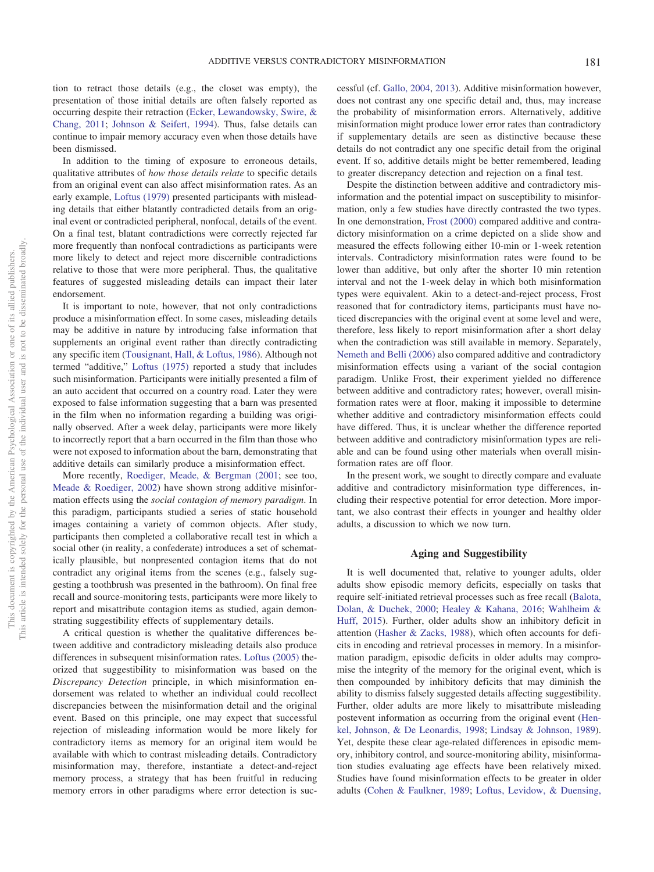tion to retract those details (e.g., the closet was empty), the presentation of those initial details are often falsely reported as occurring despite their retraction [\(Ecker, Lewandowsky, Swire, &](#page-10-3) [Chang, 2011;](#page-10-3) [Johnson & Seifert, 1994\)](#page-11-7). Thus, false details can continue to impair memory accuracy even when those details have been dismissed.

In addition to the timing of exposure to erroneous details, qualitative attributes of *how those details relate* to specific details from an original event can also affect misinformation rates. As an early example, [Loftus \(1979\)](#page-11-8) presented participants with misleading details that either blatantly contradicted details from an original event or contradicted peripheral, nonfocal, details of the event. On a final test, blatant contradictions were correctly rejected far more frequently than nonfocal contradictions as participants were more likely to detect and reject more discernible contradictions relative to those that were more peripheral. Thus, the qualitative features of suggested misleading details can impact their later endorsement.

It is important to note, however, that not only contradictions produce a misinformation effect. In some cases, misleading details may be additive in nature by introducing false information that supplements an original event rather than directly contradicting any specific item [\(Tousignant, Hall, & Loftus, 1986\)](#page-12-6). Although not termed "additive," [Loftus \(1975\)](#page-11-9) reported a study that includes such misinformation. Participants were initially presented a film of an auto accident that occurred on a country road. Later they were exposed to false information suggesting that a barn was presented in the film when no information regarding a building was originally observed. After a week delay, participants were more likely to incorrectly report that a barn occurred in the film than those who were not exposed to information about the barn, demonstrating that additive details can similarly produce a misinformation effect.

More recently, [Roediger, Meade, & Bergman \(2001;](#page-12-7) see too, [Meade & Roediger, 2002\)](#page-11-10) have shown strong additive misinformation effects using the *social contagion of memory paradigm*. In this paradigm, participants studied a series of static household images containing a variety of common objects. After study, participants then completed a collaborative recall test in which a social other (in reality, a confederate) introduces a set of schematically plausible, but nonpresented contagion items that do not contradict any original items from the scenes (e.g., falsely suggesting a toothbrush was presented in the bathroom). On final free recall and source-monitoring tests, participants were more likely to report and misattribute contagion items as studied, again demonstrating suggestibility effects of supplementary details.

A critical question is whether the qualitative differences between additive and contradictory misleading details also produce differences in subsequent misinformation rates. [Loftus \(2005\)](#page-11-11) theorized that suggestibility to misinformation was based on the *Discrepancy Detection* principle, in which misinformation endorsement was related to whether an individual could recollect discrepancies between the misinformation detail and the original event. Based on this principle, one may expect that successful rejection of misleading information would be more likely for contradictory items as memory for an original item would be available with which to contrast misleading details. Contradictory misinformation may, therefore, instantiate a detect-and-reject memory process, a strategy that has been fruitful in reducing memory errors in other paradigms where error detection is successful (cf. [Gallo, 2004,](#page-11-12) [2013\)](#page-11-13). Additive misinformation however, does not contrast any one specific detail and, thus, may increase the probability of misinformation errors. Alternatively, additive misinformation might produce lower error rates than contradictory if supplementary details are seen as distinctive because these details do not contradict any one specific detail from the original event. If so, additive details might be better remembered, leading to greater discrepancy detection and rejection on a final test.

Despite the distinction between additive and contradictory misinformation and the potential impact on susceptibility to misinformation, only a few studies have directly contrasted the two types. In one demonstration, [Frost \(2000\)](#page-10-4) compared additive and contradictory misinformation on a crime depicted on a slide show and measured the effects following either 10-min or 1-week retention intervals. Contradictory misinformation rates were found to be lower than additive, but only after the shorter 10 min retention interval and not the 1-week delay in which both misinformation types were equivalent. Akin to a detect-and-reject process, Frost reasoned that for contradictory items, participants must have noticed discrepancies with the original event at some level and were, therefore, less likely to report misinformation after a short delay when the contradiction was still available in memory. Separately, [Nemeth and Belli \(2006\)](#page-11-14) also compared additive and contradictory misinformation effects using a variant of the social contagion paradigm. Unlike Frost, their experiment yielded no difference between additive and contradictory rates; however, overall misinformation rates were at floor, making it impossible to determine whether additive and contradictory misinformation effects could have differed. Thus, it is unclear whether the difference reported between additive and contradictory misinformation types are reliable and can be found using other materials when overall misinformation rates are off floor.

In the present work, we sought to directly compare and evaluate additive and contradictory misinformation type differences, including their respective potential for error detection. More important, we also contrast their effects in younger and healthy older adults, a discussion to which we now turn.

# **Aging and Suggestibility**

It is well documented that, relative to younger adults, older adults show episodic memory deficits, especially on tasks that require self-initiated retrieval processes such as free recall [\(Balota,](#page-10-5) [Dolan, & Duchek, 2000;](#page-10-5) [Healey & Kahana, 2016;](#page-11-15) [Wahlheim &](#page-12-8) [Huff, 2015\)](#page-12-8). Further, older adults show an inhibitory deficit in attention [\(Hasher & Zacks, 1988\)](#page-11-16), which often accounts for deficits in encoding and retrieval processes in memory. In a misinformation paradigm, episodic deficits in older adults may compromise the integrity of the memory for the original event, which is then compounded by inhibitory deficits that may diminish the ability to dismiss falsely suggested details affecting suggestibility. Further, older adults are more likely to misattribute misleading postevent information as occurring from the original event [\(Hen](#page-11-17)[kel, Johnson, & De Leonardis, 1998;](#page-11-17) [Lindsay & Johnson, 1989\)](#page-11-4). Yet, despite these clear age-related differences in episodic memory, inhibitory control, and source-monitoring ability, misinformation studies evaluating age effects have been relatively mixed. Studies have found misinformation effects to be greater in older adults [\(Cohen & Faulkner, 1989;](#page-10-6) [Loftus, Levidow, & Duensing,](#page-11-18)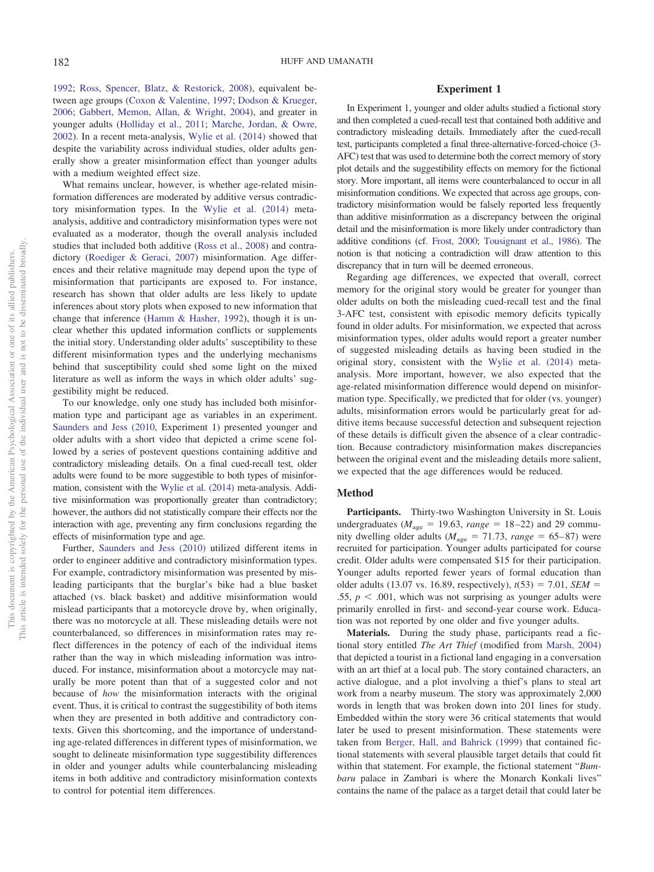[1992;](#page-11-18) [Ross, Spencer, Blatz, & Restorick, 2008\)](#page-12-9), equivalent between age groups [\(Coxon & Valentine, 1997;](#page-10-7) [Dodson & Krueger,](#page-10-8) [2006;](#page-10-8) [Gabbert, Memon, Allan, & Wright, 2004\)](#page-10-9), and greater in younger adults [\(Holliday et al., 2011;](#page-11-19) [Marche, Jordan, & Owre,](#page-11-20) [2002\)](#page-11-20). In a recent meta-analysis, [Wylie et al. \(2014\)](#page-12-10) showed that despite the variability across individual studies, older adults generally show a greater misinformation effect than younger adults with a medium weighted effect size.

What remains unclear, however, is whether age-related misinformation differences are moderated by additive versus contradictory misinformation types. In the [Wylie et al. \(2014\)](#page-12-10) metaanalysis, additive and contradictory misinformation types were not evaluated as a moderator, though the overall analysis included studies that included both additive [\(Ross et al., 2008\)](#page-12-9) and contradictory [\(Roediger & Geraci, 2007\)](#page-11-21) misinformation. Age differences and their relative magnitude may depend upon the type of misinformation that participants are exposed to. For instance, research has shown that older adults are less likely to update inferences about story plots when exposed to new information that change that inference [\(Hamm & Hasher, 1992\)](#page-11-22), though it is unclear whether this updated information conflicts or supplements the initial story. Understanding older adults' susceptibility to these different misinformation types and the underlying mechanisms behind that susceptibility could shed some light on the mixed literature as well as inform the ways in which older adults' suggestibility might be reduced.

To our knowledge, only one study has included both misinformation type and participant age as variables in an experiment. [Saunders and Jess \(2010,](#page-12-3) Experiment 1) presented younger and older adults with a short video that depicted a crime scene followed by a series of postevent questions containing additive and contradictory misleading details. On a final cued-recall test, older adults were found to be more suggestible to both types of misinformation, consistent with the [Wylie et al. \(2014\)](#page-12-10) meta-analysis. Additive misinformation was proportionally greater than contradictory; however, the authors did not statistically compare their effects nor the interaction with age, preventing any firm conclusions regarding the effects of misinformation type and age.

Further, [Saunders and Jess \(2010\)](#page-12-3) utilized different items in order to engineer additive and contradictory misinformation types. For example, contradictory misinformation was presented by misleading participants that the burglar's bike had a blue basket attached (vs. black basket) and additive misinformation would mislead participants that a motorcycle drove by, when originally, there was no motorcycle at all. These misleading details were not counterbalanced, so differences in misinformation rates may reflect differences in the potency of each of the individual items rather than the way in which misleading information was introduced. For instance, misinformation about a motorcycle may naturally be more potent than that of a suggested color and not because of *how* the misinformation interacts with the original event. Thus, it is critical to contrast the suggestibility of both items when they are presented in both additive and contradictory contexts. Given this shortcoming, and the importance of understanding age-related differences in different types of misinformation, we sought to delineate misinformation type suggestibility differences in older and younger adults while counterbalancing misleading items in both additive and contradictory misinformation contexts to control for potential item differences.

# **Experiment 1**

In Experiment 1, younger and older adults studied a fictional story and then completed a cued-recall test that contained both additive and contradictory misleading details. Immediately after the cued-recall test, participants completed a final three-alternative-forced-choice (3- AFC) test that was used to determine both the correct memory of story plot details and the suggestibility effects on memory for the fictional story. More important, all items were counterbalanced to occur in all misinformation conditions. We expected that across age groups, contradictory misinformation would be falsely reported less frequently than additive misinformation as a discrepancy between the original detail and the misinformation is more likely under contradictory than additive conditions (cf. [Frost, 2000;](#page-10-4) [Tousignant et al., 1986\)](#page-12-6). The notion is that noticing a contradiction will draw attention to this discrepancy that in turn will be deemed erroneous.

Regarding age differences, we expected that overall, correct memory for the original story would be greater for younger than older adults on both the misleading cued-recall test and the final 3-AFC test, consistent with episodic memory deficits typically found in older adults. For misinformation, we expected that across misinformation types, older adults would report a greater number of suggested misleading details as having been studied in the original story, consistent with the [Wylie et al. \(2014\)](#page-12-10) metaanalysis. More important, however, we also expected that the age-related misinformation difference would depend on misinformation type. Specifically, we predicted that for older (vs. younger) adults, misinformation errors would be particularly great for additive items because successful detection and subsequent rejection of these details is difficult given the absence of a clear contradiction. Because contradictory misinformation makes discrepancies between the original event and the misleading details more salient, we expected that the age differences would be reduced.

#### **Method**

**Participants.** Thirty-two Washington University in St. Louis undergraduates ( $M_{\text{age}} = 19.63$ ,  $range = 18-22$ ) and 29 community dwelling older adults ( $M_{\text{age}} = 71.73$ ,  $range = 65-87$ ) were recruited for participation. Younger adults participated for course credit. Older adults were compensated \$15 for their participation. Younger adults reported fewer years of formal education than older adults (13.07 vs. 16.89, respectively),  $t(53) = 7.01$ , *SEM* = .55,  $p < .001$ , which was not surprising as younger adults were primarily enrolled in first- and second-year course work. Education was not reported by one older and five younger adults.

**Materials.** During the study phase, participants read a fictional story entitled *The Art Thief* (modified from [Marsh, 2004\)](#page-11-23) that depicted a tourist in a fictional land engaging in a conversation with an art thief at a local pub. The story contained characters, an active dialogue, and a plot involving a thief's plans to steal art work from a nearby museum. The story was approximately 2,000 words in length that was broken down into 201 lines for study. Embedded within the story were 36 critical statements that would later be used to present misinformation. These statements were taken from [Berger, Hall, and Bahrick \(1999\)](#page-10-10) that contained fictional statements with several plausible target details that could fit within that statement. For example, the fictional statement "*Bumbaru* palace in Zambari is where the Monarch Konkali lives" contains the name of the palace as a target detail that could later be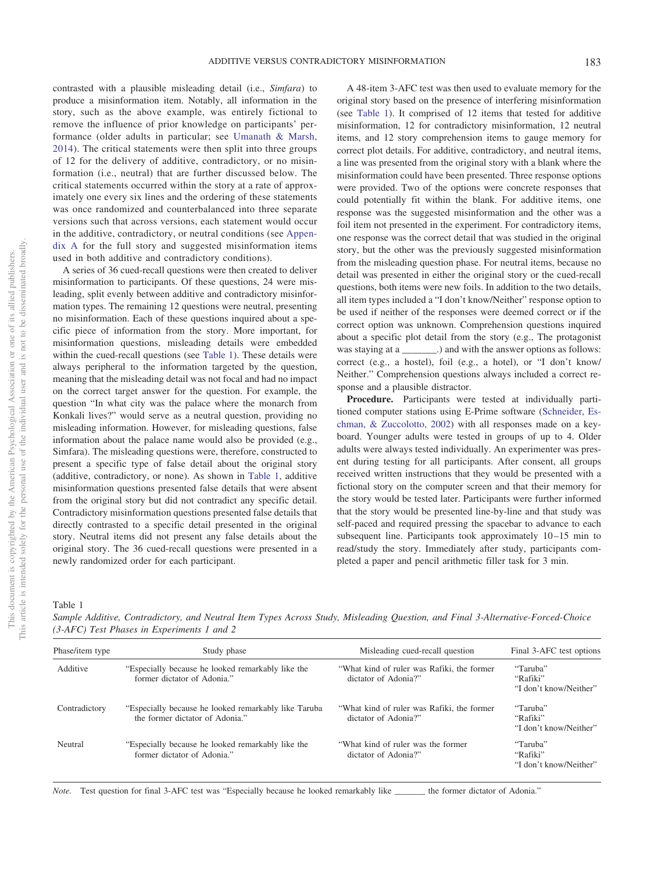contrasted with a plausible misleading detail (i.e., *Simfara*) to produce a misinformation item. Notably, all information in the story, such as the above example, was entirely fictional to remove the influence of prior knowledge on participants' performance (older adults in particular; see [Umanath & Marsh,](#page-12-11) [2014\)](#page-12-11). The critical statements were then split into three groups of 12 for the delivery of additive, contradictory, or no misinformation (i.e., neutral) that are further discussed below. The critical statements occurred within the story at a rate of approximately one every six lines and the ordering of these statements was once randomized and counterbalanced into three separate versions such that across versions, each statement would occur in the additive, contradictory, or neutral conditions (see [Appen](#page-13-0)[dix A](#page-13-0) for the full story and suggested misinformation items used in both additive and contradictory conditions).

A series of 36 cued-recall questions were then created to deliver misinformation to participants. Of these questions, 24 were misleading, split evenly between additive and contradictory misinformation types. The remaining 12 questions were neutral, presenting no misinformation. Each of these questions inquired about a specific piece of information from the story. More important, for misinformation questions, misleading details were embedded within the cued-recall questions (see [Table 1\)](#page-3-0). These details were always peripheral to the information targeted by the question, meaning that the misleading detail was not focal and had no impact on the correct target answer for the question. For example, the question "In what city was the palace where the monarch from Konkali lives?" would serve as a neutral question, providing no misleading information. However, for misleading questions, false information about the palace name would also be provided (e.g., Simfara). The misleading questions were, therefore, constructed to present a specific type of false detail about the original story (additive, contradictory, or none). As shown in [Table 1,](#page-3-0) additive misinformation questions presented false details that were absent from the original story but did not contradict any specific detail. Contradictory misinformation questions presented false details that directly contrasted to a specific detail presented in the original story. Neutral items did not present any false details about the original story. The 36 cued-recall questions were presented in a newly randomized order for each participant.

A 48-item 3-AFC test was then used to evaluate memory for the original story based on the presence of interfering misinformation (see [Table 1\)](#page-3-0). It comprised of 12 items that tested for additive misinformation, 12 for contradictory misinformation, 12 neutral items, and 12 story comprehension items to gauge memory for correct plot details. For additive, contradictory, and neutral items, a line was presented from the original story with a blank where the misinformation could have been presented. Three response options were provided. Two of the options were concrete responses that could potentially fit within the blank. For additive items, one response was the suggested misinformation and the other was a foil item not presented in the experiment. For contradictory items, one response was the correct detail that was studied in the original story, but the other was the previously suggested misinformation from the misleading question phase. For neutral items, because no detail was presented in either the original story or the cued-recall questions, both items were new foils. In addition to the two details, all item types included a "I don't know/Neither" response option to be used if neither of the responses were deemed correct or if the correct option was unknown. Comprehension questions inquired about a specific plot detail from the story (e.g., The protagonist was staying at a \_\_\_\_\_\_\_.) and with the answer options as follows: correct (e.g., a hostel), foil (e.g., a hotel), or "I don't know/ Neither." Comprehension questions always included a correct response and a plausible distractor.

**Procedure.** Participants were tested at individually partitioned computer stations using E-Prime software [\(Schneider, Es](#page-12-12)[chman, & Zuccolotto, 2002\)](#page-12-12) with all responses made on a keyboard. Younger adults were tested in groups of up to 4. Older adults were always tested individually. An experimenter was present during testing for all participants. After consent, all groups received written instructions that they would be presented with a fictional story on the computer screen and that their memory for the story would be tested later. Participants were further informed that the story would be presented line-by-line and that study was self-paced and required pressing the spacebar to advance to each subsequent line. Participants took approximately 10-15 min to read/study the story. Immediately after study, participants completed a paper and pencil arithmetic filler task for 3 min.

<span id="page-3-0"></span>Table 1

*Sample Additive, Contradictory, and Neutral Item Types Across Study, Misleading Question, and Final 3-Alternative-Forced-Choice (3-AFC) Test Phases in Experiments 1 and 2*

| Phase/item type | Study phase                                                                              | Misleading cued-recall question                                    | Final 3-AFC test options                       |  |
|-----------------|------------------------------------------------------------------------------------------|--------------------------------------------------------------------|------------------------------------------------|--|
| Additive        | "Especially because he looked remarkably like the<br>former dictator of Adonia."         | "What kind of ruler was Rafiki, the former<br>dictator of Adonia?" | "Taruba"<br>"Rafiki"<br>"I don't know/Neither" |  |
| Contradictory   | "Especially because he looked remarkably like Taruba"<br>the former dictator of Adonia." | "What kind of ruler was Rafiki, the former<br>dictator of Adonia?" | "Taruba"<br>"Rafiki"<br>"I don't know/Neither" |  |
| Neutral         | "Especially because he looked remarkably like the<br>former dictator of Adonia."         | "What kind of ruler was the former"<br>dictator of Adonia?"        | "Taruba"<br>"Rafiki"<br>"I don't know/Neither" |  |

*Note.* Test question for final 3-AFC test was "Especially because he looked remarkably like the former dictator of Adonia."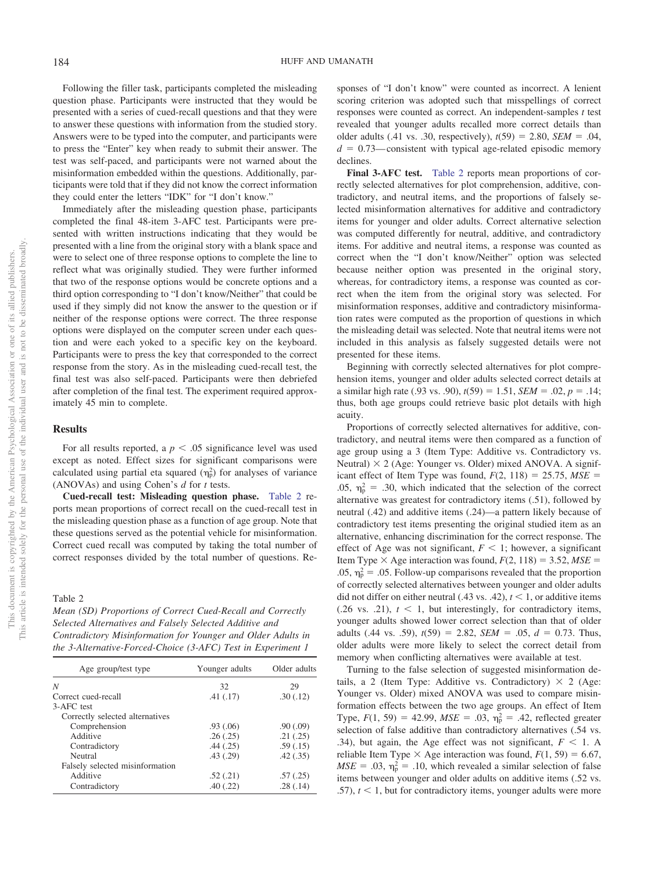Following the filler task, participants completed the misleading question phase. Participants were instructed that they would be presented with a series of cued-recall questions and that they were to answer these questions with information from the studied story. Answers were to be typed into the computer, and participants were to press the "Enter" key when ready to submit their answer. The test was self-paced, and participants were not warned about the misinformation embedded within the questions. Additionally, participants were told that if they did not know the correct information they could enter the letters "IDK" for "I don't know."

Immediately after the misleading question phase, participants completed the final 48-item 3-AFC test. Participants were presented with written instructions indicating that they would be presented with a line from the original story with a blank space and were to select one of three response options to complete the line to reflect what was originally studied. They were further informed that two of the response options would be concrete options and a third option corresponding to "I don't know/Neither" that could be used if they simply did not know the answer to the question or if neither of the response options were correct. The three response options were displayed on the computer screen under each question and were each yoked to a specific key on the keyboard. Participants were to press the key that corresponded to the correct response from the story. As in the misleading cued-recall test, the final test was also self-paced. Participants were then debriefed after completion of the final test. The experiment required approximately 45 min to complete.

# **Results**

For all results reported, a  $p < .05$  significance level was used except as noted. Effect sizes for significant comparisons were calculated using partial eta squared  $(\eta_p^2)$  for analyses of variance (ANOVAs) and using Cohen's *d* for *t* tests.

**Cued-recall test: Misleading question phase.** [Table 2](#page-4-0) reports mean proportions of correct recall on the cued-recall test in the misleading question phase as a function of age group. Note that these questions served as the potential vehicle for misinformation. Correct cued recall was computed by taking the total number of correct responses divided by the total number of questions. Re-

#### <span id="page-4-0"></span>Table 2

*Mean (SD) Proportions of Correct Cued-Recall and Correctly Selected Alternatives and Falsely Selected Additive and Contradictory Misinformation for Younger and Older Adults in the 3-Alternative-Forced-Choice (3-AFC) Test in Experiment 1*

| Age group/test type             | Younger adults | Older adults |  |
|---------------------------------|----------------|--------------|--|
| N                               | 32             | 29           |  |
| Correct cued-recall             | .41(.17)       | .30(.12)     |  |
| 3-AFC test                      |                |              |  |
| Correctly selected alternatives |                |              |  |
| Comprehension                   | .93(0.06)      | .90(.09)     |  |
| Additive                        | .26(.25)       | .21(.25)     |  |
| Contradictory                   | .44(.25)       | .59(.15)     |  |
| Neutral                         | .43(.29)       | .42(.35)     |  |
| Falsely selected misinformation |                |              |  |
| Additive                        | .52(.21)       | .57(.25)     |  |
| Contradictory                   | .40(.22)       | .28(.14)     |  |

sponses of "I don't know" were counted as incorrect. A lenient scoring criterion was adopted such that misspellings of correct responses were counted as correct. An independent-samples *t* test revealed that younger adults recalled more correct details than older adults (.41 vs. .30, respectively),  $t(59) = 2.80$ , *SEM* = .04,  $d = 0.73$ —consistent with typical age-related episodic memory declines.

**Final 3-AFC test.** [Table 2](#page-4-0) reports mean proportions of correctly selected alternatives for plot comprehension, additive, contradictory, and neutral items, and the proportions of falsely selected misinformation alternatives for additive and contradictory items for younger and older adults. Correct alternative selection was computed differently for neutral, additive, and contradictory items. For additive and neutral items, a response was counted as correct when the "I don't know/Neither" option was selected because neither option was presented in the original story, whereas, for contradictory items, a response was counted as correct when the item from the original story was selected. For misinformation responses, additive and contradictory misinformation rates were computed as the proportion of questions in which the misleading detail was selected. Note that neutral items were not included in this analysis as falsely suggested details were not presented for these items.

Beginning with correctly selected alternatives for plot comprehension items, younger and older adults selected correct details at a similar high rate (.93 vs. .90),  $t(59) = 1.51$ ,  $SEM = .02$ ,  $p = .14$ ; thus, both age groups could retrieve basic plot details with high acuity.

Proportions of correctly selected alternatives for additive, contradictory, and neutral items were then compared as a function of age group using a 3 (Item Type: Additive vs. Contradictory vs. Neutral)  $\times$  2 (Age: Younger vs. Older) mixed ANOVA. A significant effect of Item Type was found,  $F(2, 118) = 25.75$ ,  $MSE =$ .05,  $\eta_{\rm p}^2$  = .30, which indicated that the selection of the correct alternative was greatest for contradictory items (.51), followed by neutral (.42) and additive items (.24)—a pattern likely because of contradictory test items presenting the original studied item as an alternative, enhancing discrimination for the correct response. The effect of Age was not significant,  $F \leq 1$ ; however, a significant Item Type  $\times$  Age interaction was found,  $F(2, 118) = 3.52$ ,  $MSE =$ .05,  $\eta_{\rm p}^2 = .05$ . Follow-up comparisons revealed that the proportion of correctly selected alternatives between younger and older adults did not differ on either neutral (.43 vs. .42),  $t < 1$ , or additive items  $(0.26 \text{ vs. } 0.21)$ ,  $t < 1$ , but interestingly, for contradictory items, younger adults showed lower correct selection than that of older adults (.44 vs. .59),  $t(59) = 2.82$ ,  $SEM = .05$ ,  $d = 0.73$ . Thus, older adults were more likely to select the correct detail from memory when conflicting alternatives were available at test.

Turning to the false selection of suggested misinformation details, a 2 (Item Type: Additive vs. Contradictory)  $\times$  2 (Age: Younger vs. Older) mixed ANOVA was used to compare misinformation effects between the two age groups. An effect of Item Type,  $F(1, 59) = 42.99$ ,  $MSE = .03$ ,  $\eta_p^2 = .42$ , reflected greater selection of false additive than contradictory alternatives (.54 vs. .34), but again, the Age effect was not significant,  $F < 1$ . A reliable Item Type  $\times$  Age interaction was found,  $F(1, 59) = 6.67$ ,  $MSE = .03$ ,  $\eta_p^2 = .10$ , which revealed a similar selection of false items between younger and older adults on additive items (.52 vs. .57),  $t < 1$ , but for contradictory items, younger adults were more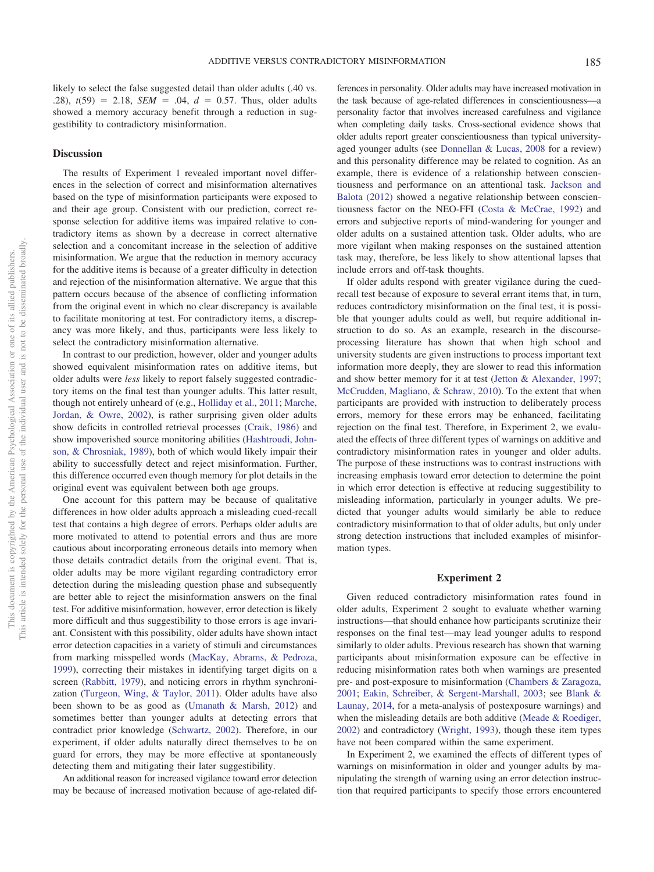# **Discussion**

The results of Experiment 1 revealed important novel differences in the selection of correct and misinformation alternatives based on the type of misinformation participants were exposed to and their age group. Consistent with our prediction, correct response selection for additive items was impaired relative to contradictory items as shown by a decrease in correct alternative selection and a concomitant increase in the selection of additive misinformation. We argue that the reduction in memory accuracy for the additive items is because of a greater difficulty in detection and rejection of the misinformation alternative. We argue that this pattern occurs because of the absence of conflicting information from the original event in which no clear discrepancy is available to facilitate monitoring at test. For contradictory items, a discrepancy was more likely, and thus, participants were less likely to select the contradictory misinformation alternative.

In contrast to our prediction, however, older and younger adults showed equivalent misinformation rates on additive items, but older adults were *less* likely to report falsely suggested contradictory items on the final test than younger adults. This latter result, though not entirely unheard of (e.g., [Holliday et al., 2011;](#page-11-19) [Marche,](#page-11-20) [Jordan, & Owre, 2002\)](#page-11-20), is rather surprising given older adults show deficits in controlled retrieval processes [\(Craik, 1986\)](#page-10-11) and show impoverished source monitoring abilities [\(Hashtroudi, John](#page-11-24)[son, & Chrosniak, 1989\)](#page-11-24), both of which would likely impair their ability to successfully detect and reject misinformation. Further, this difference occurred even though memory for plot details in the original event was equivalent between both age groups.

One account for this pattern may be because of qualitative differences in how older adults approach a misleading cued-recall test that contains a high degree of errors. Perhaps older adults are more motivated to attend to potential errors and thus are more cautious about incorporating erroneous details into memory when those details contradict details from the original event. That is, older adults may be more vigilant regarding contradictory error detection during the misleading question phase and subsequently are better able to reject the misinformation answers on the final test. For additive misinformation, however, error detection is likely more difficult and thus suggestibility to those errors is age invariant. Consistent with this possibility, older adults have shown intact error detection capacities in a variety of stimuli and circumstances from marking misspelled words [\(MacKay, Abrams, & Pedroza,](#page-11-25) [1999\)](#page-11-25), correcting their mistakes in identifying target digits on a screen [\(Rabbitt, 1979\)](#page-11-26), and noticing errors in rhythm synchronization [\(Turgeon, Wing, & Taylor, 2011\)](#page-12-13). Older adults have also been shown to be as good as [\(Umanath & Marsh, 2012\)](#page-12-14) and sometimes better than younger adults at detecting errors that contradict prior knowledge [\(Schwartz, 2002\)](#page-12-15). Therefore, in our experiment, if older adults naturally direct themselves to be on guard for errors, they may be more effective at spontaneously detecting them and mitigating their later suggestibility.

An additional reason for increased vigilance toward error detection may be because of increased motivation because of age-related dif-

ferences in personality. Older adults may have increased motivation in the task because of age-related differences in conscientiousness—a personality factor that involves increased carefulness and vigilance when completing daily tasks. Cross-sectional evidence shows that older adults report greater conscientiousness than typical universityaged younger adults (see [Donnellan & Lucas, 2008](#page-10-12) for a review) and this personality difference may be related to cognition. As an example, there is evidence of a relationship between conscientiousness and performance on an attentional task. [Jackson and](#page-11-27) [Balota \(2012\)](#page-11-27) showed a negative relationship between conscientiousness factor on the NEO-FFI [\(Costa & McCrae, 1992\)](#page-10-13) and errors and subjective reports of mind-wandering for younger and older adults on a sustained attention task. Older adults, who are more vigilant when making responses on the sustained attention task may, therefore, be less likely to show attentional lapses that include errors and off-task thoughts.

If older adults respond with greater vigilance during the cuedrecall test because of exposure to several errant items that, in turn, reduces contradictory misinformation on the final test, it is possible that younger adults could as well, but require additional instruction to do so. As an example, research in the discourseprocessing literature has shown that when high school and university students are given instructions to process important text information more deeply, they are slower to read this information and show better memory for it at test [\(Jetton & Alexander, 1997;](#page-11-28) [McCrudden, Magliano, & Schraw, 2010\)](#page-11-29). To the extent that when participants are provided with instruction to deliberately process errors, memory for these errors may be enhanced, facilitating rejection on the final test. Therefore, in Experiment 2, we evaluated the effects of three different types of warnings on additive and contradictory misinformation rates in younger and older adults. The purpose of these instructions was to contrast instructions with increasing emphasis toward error detection to determine the point in which error detection is effective at reducing suggestibility to misleading information, particularly in younger adults. We predicted that younger adults would similarly be able to reduce contradictory misinformation to that of older adults, but only under strong detection instructions that included examples of misinformation types.

#### **Experiment 2**

Given reduced contradictory misinformation rates found in older adults, Experiment 2 sought to evaluate whether warning instructions—that should enhance how participants scrutinize their responses on the final test—may lead younger adults to respond similarly to older adults. Previous research has shown that warning participants about misinformation exposure can be effective in reducing misinformation rates both when warnings are presented pre- and post-exposure to misinformation [\(Chambers & Zaragoza,](#page-10-1) [2001;](#page-10-1) [Eakin, Schreiber, & Sergent-Marshall, 2003;](#page-10-14) see [Blank &](#page-10-15) [Launay, 2014,](#page-10-15) for a meta-analysis of postexposure warnings) and when the misleading details are both additive [\(Meade & Roediger,](#page-11-10) [2002\)](#page-11-10) and contradictory [\(Wright, 1993\)](#page-12-16), though these item types have not been compared within the same experiment.

In Experiment 2, we examined the effects of different types of warnings on misinformation in older and younger adults by manipulating the strength of warning using an error detection instruction that required participants to specify those errors encountered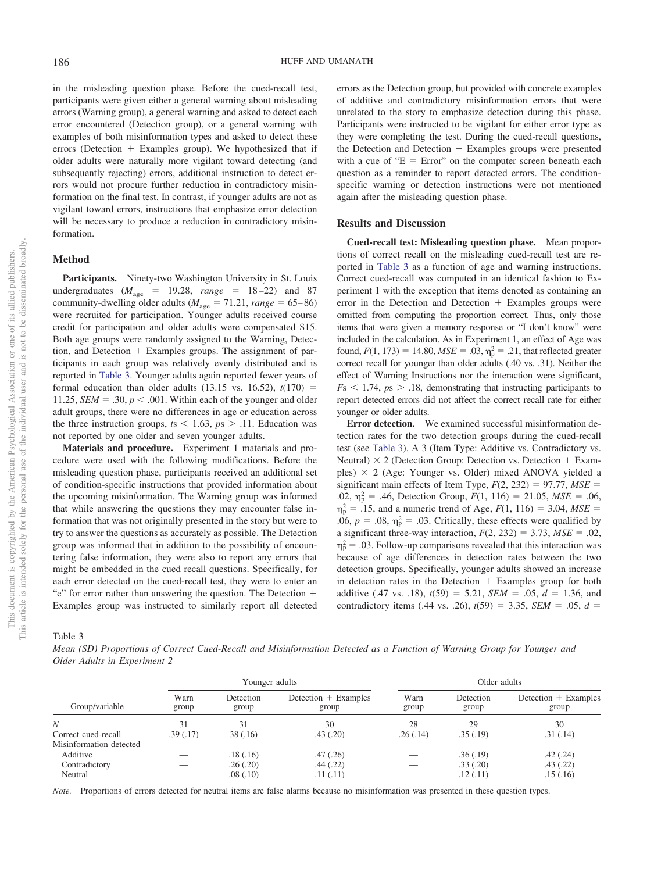in the misleading question phase. Before the cued-recall test, participants were given either a general warning about misleading errors (Warning group), a general warning and asked to detect each error encountered (Detection group), or a general warning with examples of both misinformation types and asked to detect these errors (Detection  $+$  Examples group). We hypothesized that if older adults were naturally more vigilant toward detecting (and subsequently rejecting) errors, additional instruction to detect errors would not procure further reduction in contradictory misinformation on the final test. In contrast, if younger adults are not as vigilant toward errors, instructions that emphasize error detection will be necessary to produce a reduction in contradictory misinformation.

# **Method**

Participants. Ninety-two Washington University in St. Louis undergraduates  $(M_{\text{age}} = 19.28, \text{ range} = 18-22)$  and 87 community-dwelling older adults ( $M_{\text{age}} = 71.21$ ,  $range = 65-86$ ) were recruited for participation. Younger adults received course credit for participation and older adults were compensated \$15. Both age groups were randomly assigned to the Warning, Detection, and Detection  $+$  Examples groups. The assignment of participants in each group was relatively evenly distributed and is reported in [Table 3.](#page-6-0) Younger adults again reported fewer years of formal education than older adults  $(13.15 \text{ vs. } 16.52)$ ,  $t(170) =$ 11.25, *SEM* = .30,  $p < .001$ . Within each of the younger and older adult groups, there were no differences in age or education across the three instruction groups,  $t_s < 1.63$ ,  $p_s > 11$ . Education was not reported by one older and seven younger adults.

**Materials and procedure.** Experiment 1 materials and procedure were used with the following modifications. Before the misleading question phase, participants received an additional set of condition-specific instructions that provided information about the upcoming misinformation. The Warning group was informed that while answering the questions they may encounter false information that was not originally presented in the story but were to try to answer the questions as accurately as possible. The Detection group was informed that in addition to the possibility of encountering false information, they were also to report any errors that might be embedded in the cued recall questions. Specifically, for each error detected on the cued-recall test, they were to enter an "e" for error rather than answering the question. The Detection + Examples group was instructed to similarly report all detected errors as the Detection group, but provided with concrete examples of additive and contradictory misinformation errors that were unrelated to the story to emphasize detection during this phase. Participants were instructed to be vigilant for either error type as they were completing the test. During the cued-recall questions, the Detection and Detection  $+$  Examples groups were presented with a cue of " $E = Error$ " on the computer screen beneath each question as a reminder to report detected errors. The conditionspecific warning or detection instructions were not mentioned again after the misleading question phase.

# **Results and Discussion**

**Cued-recall test: Misleading question phase.** Mean proportions of correct recall on the misleading cued-recall test are reported in [Table 3](#page-6-0) as a function of age and warning instructions. Correct cued-recall was computed in an identical fashion to Experiment 1 with the exception that items denoted as containing an error in the Detection and Detection + Examples groups were omitted from computing the proportion correct. Thus, only those items that were given a memory response or "I don't know" were included in the calculation. As in Experiment 1, an effect of Age was found,  $F(1, 173) = 14.80$ ,  $MSE = .03$ ,  $\eta_p^2 = .21$ , that reflected greater correct recall for younger than older adults (.40 vs. .31). Neither the effect of Warning Instructions nor the interaction were significant,  $F<sub>S</sub> < 1.74$ ,  $p<sub>S</sub> > 0.18$ , demonstrating that instructing participants to report detected errors did not affect the correct recall rate for either younger or older adults.

**Error detection.** We examined successful misinformation detection rates for the two detection groups during the cued-recall test (see [Table 3\)](#page-6-0). A 3 (Item Type: Additive vs. Contradictory vs. Neutral)  $\times$  2 (Detection Group: Detection vs. Detection + Examples)  $\times$  2 (Age: Younger vs. Older) mixed ANOVA yielded a significant main effects of Item Type,  $F(2, 232) = 97.77$ ,  $MSE =$ .02,  $\eta_p^2 = .46$ , Detection Group,  $F(1, 116) = 21.05$ ,  $MSE = .06$ ,  $m_p^2 = .15$ , and a numeric trend of Age,  $F(1, 116) = 3.04$ ,  $MSE =$ .06,  $p = .08$ ,  $\eta_p^2 = .03$ . Critically, these effects were qualified by a significant three-way interaction,  $F(2, 232) = 3.73$ ,  $MSE = .02$ ,  $\eta_{\rm p}^2$  = .03. Follow-up comparisons revealed that this interaction was because of age differences in detection rates between the two detection groups. Specifically, younger adults showed an increase in detection rates in the Detection  $+$  Examples group for both additive (.47 vs. .18),  $t(59) = 5.21$ ,  $SEM = .05$ ,  $d = 1.36$ , and contradictory items (.44 vs. .26),  $t(59) = 3.35$ , *SEM* = .05,  $d =$ 

<span id="page-6-0"></span>Table 3

*Mean (SD) Proportions of Correct Cued-Recall and Misinformation Detected as a Function of Warning Group for Younger and Older Adults in Experiment 2*

|                         | Younger adults |                    |                               | Older adults  |                    |                                 |
|-------------------------|----------------|--------------------|-------------------------------|---------------|--------------------|---------------------------------|
| Group/variable          | Warn<br>group  | Detection<br>group | Detection + Examples<br>group | Warn<br>group | Detection<br>group | $Detection + Examples$<br>group |
| $\boldsymbol{N}$        | 31             | 31                 | 30                            | 28            | 29                 | 30                              |
| Correct cued-recall     | .39(.17)       | 38(.16)            | .43(.20)                      | .26(.14)      | .35(.19)           | .31(.14)                        |
| Misinformation detected |                |                    |                               |               |                    |                                 |
| Additive                |                | .18(.16)           | .47(.26)                      |               | .36(.19)           | .42(.24)                        |
| Contradictory           |                | .26(.20)           | .44(.22)                      |               | .33(.20)           | .43(.22)                        |
| Neutral                 |                | .08(.10)           | .11(.11)                      |               | .12(.11)           | .15(.16)                        |

*Note.* Proportions of errors detected for neutral items are false alarms because no misinformation was presented in these question types.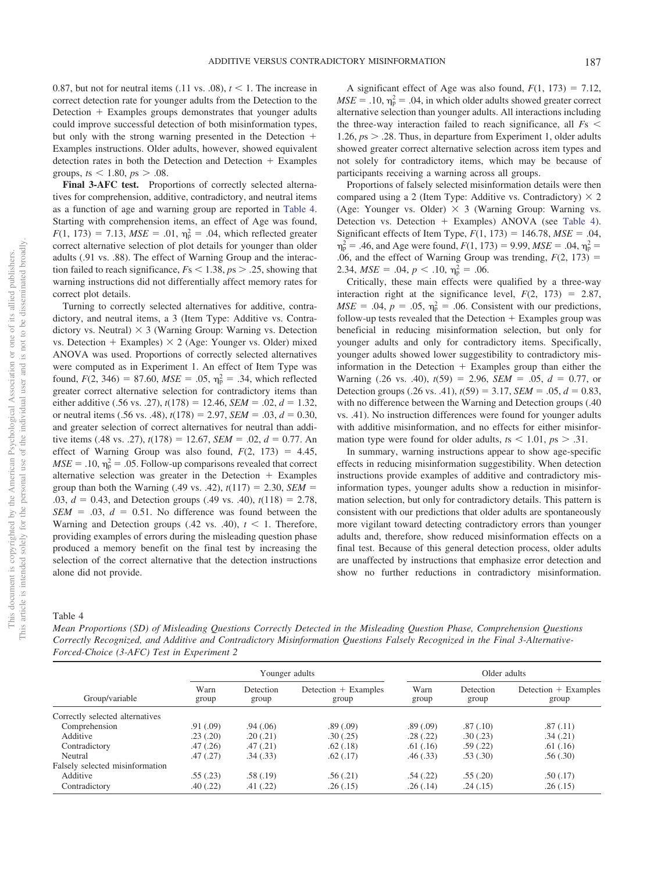0.87, but not for neutral items (.11 vs. .08),  $t < 1$ . The increase in correct detection rate for younger adults from the Detection to the Detection + Examples groups demonstrates that younger adults could improve successful detection of both misinformation types, but only with the strong warning presented in the Detection + Examples instructions. Older adults, however, showed equivalent detection rates in both the Detection and Detection  $+$  Examples groups,  $t_s < 1.80$ ,  $p_s > .08$ .

Final 3-AFC test. Proportions of correctly selected alternatives for comprehension, additive, contradictory, and neutral items as a function of age and warning group are reported in [Table 4.](#page-7-0) Starting with comprehension items, an effect of Age was found,  $F(1, 173) = 7.13$ ,  $MSE = .01$ ,  $\eta_p^2 = .04$ , which reflected greater correct alternative selection of plot details for younger than older adults (.91 vs. .88). The effect of Warning Group and the interaction failed to reach significance,  $Fs < 1.38$ ,  $ps > .25$ , showing that warning instructions did not differentially affect memory rates for correct plot details.

Turning to correctly selected alternatives for additive, contradictory, and neutral items, a 3 (Item Type: Additive vs. Contradictory vs. Neutral)  $\times$  3 (Warning Group: Warning vs. Detection vs. Detection  $+$  Examples)  $\times$  2 (Age: Younger vs. Older) mixed ANOVA was used. Proportions of correctly selected alternatives were computed as in Experiment 1. An effect of Item Type was found,  $F(2, 346) = 87.60$ ,  $MSE = .05$ ,  $\eta_p^2 = .34$ , which reflected greater correct alternative selection for contradictory items than either additive (.56 vs. .27),  $t(178) = 12.46$ ,  $SEM = .02$ ,  $d = 1.32$ , or neutral items (.56 vs. .48),  $t(178) = 2.97$ ,  $SEM = .03$ ,  $d = 0.30$ , and greater selection of correct alternatives for neutral than additive items (.48 vs. .27),  $t(178) = 12.67$ ,  $SEM = .02$ ,  $d = 0.77$ . An effect of Warning Group was also found,  $F(2, 173) = 4.45$ ,  $MSE = .10$ ,  $\eta_p^2 = .05$ . Follow-up comparisons revealed that correct alternative selection was greater in the Detection  $+$  Examples group than both the Warning (.49 vs. .42),  $t(117) = 2.30$ , *SEM* = .03,  $d = 0.43$ , and Detection groups (.49 vs. .40),  $t(118) = 2.78$ ,  $SEM = .03$ ,  $d = 0.51$ . No difference was found between the Warning and Detection groups  $(.42 \text{ vs. } .40), t < 1$ . Therefore, providing examples of errors during the misleading question phase produced a memory benefit on the final test by increasing the selection of the correct alternative that the detection instructions alone did not provide.

A significant effect of Age was also found,  $F(1, 173) = 7.12$ ,  $MSE = .10$ ,  $\eta_p^2 = .04$ , in which older adults showed greater correct alternative selection than younger adults. All interactions including the three-way interaction failed to reach significance, all *F*s 1.26,  $ps > .28$ . Thus, in departure from Experiment 1, older adults showed greater correct alternative selection across item types and not solely for contradictory items, which may be because of participants receiving a warning across all groups.

Proportions of falsely selected misinformation details were then compared using a 2 (Item Type: Additive vs. Contradictory)  $\times$  2 (Age: Younger vs. Older)  $\times$  3 (Warning Group: Warning vs. Detection vs. Detection + Examples) ANOVA (see [Table 4\)](#page-7-0). Significant effects of Item Type,  $F(1, 173) = 146.78$ ,  $MSE = .04$ ,  $\eta_{\rm p}^2 = .46$ , and Age were found,  $F(1, 173) = 9.99$ ,  $MSE = .04$ ,  $\eta_{\rm p}^2 =$ .06, and the effect of Warning Group was trending,  $F(2, 173) =$ 2.34,  $MSE = .04$ ,  $p < .10$ ,  $\eta_p^2 = .06$ .

Critically, these main effects were qualified by a three-way interaction right at the significance level,  $F(2, 173) = 2.87$ ,  $MSE = .04$ ,  $p = .05$ ,  $\eta_p^2 = .06$ . Consistent with our predictions, follow-up tests revealed that the Detection  $+$  Examples group was beneficial in reducing misinformation selection, but only for younger adults and only for contradictory items. Specifically, younger adults showed lower suggestibility to contradictory misinformation in the Detection  $+$  Examples group than either the Warning  $(.26 \text{ vs. } .40)$ ,  $t(59) = 2.96$ ,  $SEM = .05$ ,  $d = 0.77$ , or Detection groups (.26 vs. .41),  $t(59) = 3.17$ ,  $SEM = .05$ ,  $d = 0.83$ , with no difference between the Warning and Detection groups (.40 vs. .41). No instruction differences were found for younger adults with additive misinformation, and no effects for either misinformation type were found for older adults,  $t_s < 1.01$ ,  $p_s > .31$ .

In summary, warning instructions appear to show age-specific effects in reducing misinformation suggestibility. When detection instructions provide examples of additive and contradictory misinformation types, younger adults show a reduction in misinformation selection, but only for contradictory details. This pattern is consistent with our predictions that older adults are spontaneously more vigilant toward detecting contradictory errors than younger adults and, therefore, show reduced misinformation effects on a final test. Because of this general detection process, older adults are unaffected by instructions that emphasize error detection and show no further reductions in contradictory misinformation.

# <span id="page-7-0"></span>Table 4

*Mean Proportions (SD) of Misleading Questions Correctly Detected in the Misleading Question Phase, Comprehension Questions Correctly Recognized, and Additive and Contradictory Misinformation Questions Falsely Recognized in the Final 3-Alternative-Forced-Choice (3-AFC) Test in Experiment 2*

|                                 | Younger adults |                    |                                 | Older adults  |                    |                                 |
|---------------------------------|----------------|--------------------|---------------------------------|---------------|--------------------|---------------------------------|
| Group/variable                  | Warn<br>group  | Detection<br>group | Detection $+$ Examples<br>group | Warn<br>group | Detection<br>group | $Detection + Examples$<br>group |
| Correctly selected alternatives |                |                    |                                 |               |                    |                                 |
| Comprehension                   | .91(.09)       | .94(0.06)          | .89(.09)                        | .89(.09)      | .87(.10)           | .87(.11)                        |
| Additive                        | .23(.20)       | .20(.21)           | .30(.25)                        | .28(.22)      | .30(.23)           | .34(.21)                        |
| Contradictory                   | .47(.26)       | .47(0.21)          | .62(.18)                        | .61(.16)      | .59(.22)           | .61(.16)                        |
| Neutral                         | .47(.27)       | .34(.33)           | .62(.17)                        | .46(.33)      | .53(.30)           | .56(.30)                        |
| Falsely selected misinformation |                |                    |                                 |               |                    |                                 |
| Additive                        | .55(.23)       | .58(.19)           | .56(.21)                        | .54(.22)      | .55(.20)           | .50(.17)                        |
| Contradictory                   | .40(.22)       | .41(.22)           | .26(.15)                        | .26(.14)      | .24(.15)           | .26(.15)                        |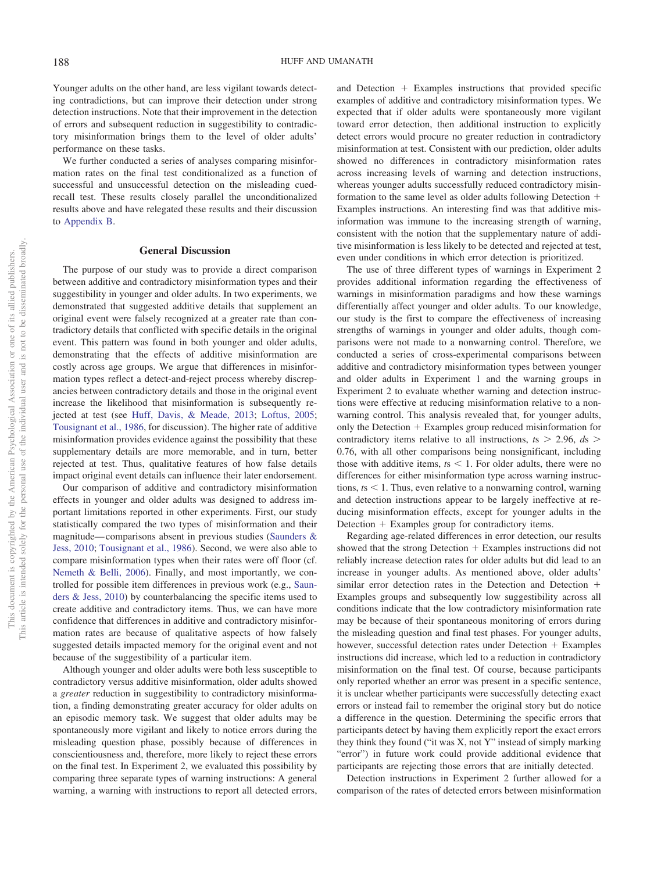Younger adults on the other hand, are less vigilant towards detecting contradictions, but can improve their detection under strong detection instructions. Note that their improvement in the detection of errors and subsequent reduction in suggestibility to contradictory misinformation brings them to the level of older adults' performance on these tasks.

We further conducted a series of analyses comparing misinformation rates on the final test conditionalized as a function of successful and unsuccessful detection on the misleading cuedrecall test. These results closely parallel the unconditionalized results above and have relegated these results and their discussion to [Appendix B.](#page-15-0)

## **General Discussion**

The purpose of our study was to provide a direct comparison between additive and contradictory misinformation types and their suggestibility in younger and older adults. In two experiments, we demonstrated that suggested additive details that supplement an original event were falsely recognized at a greater rate than contradictory details that conflicted with specific details in the original event. This pattern was found in both younger and older adults, demonstrating that the effects of additive misinformation are costly across age groups. We argue that differences in misinformation types reflect a detect-and-reject process whereby discrepancies between contradictory details and those in the original event increase the likelihood that misinformation is subsequently rejected at test (see [Huff, Davis, & Meade, 2013;](#page-11-30) [Loftus, 2005;](#page-11-11) [Tousignant et al., 1986,](#page-12-6) for discussion). The higher rate of additive misinformation provides evidence against the possibility that these supplementary details are more memorable, and in turn, better rejected at test. Thus, qualitative features of how false details impact original event details can influence their later endorsement.

Our comparison of additive and contradictory misinformation effects in younger and older adults was designed to address important limitations reported in other experiments. First, our study statistically compared the two types of misinformation and their magnitude— comparisons absent in previous studies [\(Saunders &](#page-12-3) [Jess, 2010;](#page-12-3) [Tousignant et al., 1986\)](#page-12-6). Second, we were also able to compare misinformation types when their rates were off floor (cf. [Nemeth & Belli, 2006\)](#page-11-14). Finally, and most importantly, we controlled for possible item differences in previous work (e.g., [Saun](#page-12-3)[ders & Jess, 2010\)](#page-12-3) by counterbalancing the specific items used to create additive and contradictory items. Thus, we can have more confidence that differences in additive and contradictory misinformation rates are because of qualitative aspects of how falsely suggested details impacted memory for the original event and not because of the suggestibility of a particular item.

Although younger and older adults were both less susceptible to contradictory versus additive misinformation, older adults showed a *greater* reduction in suggestibility to contradictory misinformation, a finding demonstrating greater accuracy for older adults on an episodic memory task. We suggest that older adults may be spontaneously more vigilant and likely to notice errors during the misleading question phase, possibly because of differences in conscientiousness and, therefore, more likely to reject these errors on the final test. In Experiment 2, we evaluated this possibility by comparing three separate types of warning instructions: A general warning, a warning with instructions to report all detected errors,

and Detection  $+$  Examples instructions that provided specific examples of additive and contradictory misinformation types. We expected that if older adults were spontaneously more vigilant toward error detection, then additional instruction to explicitly detect errors would procure no greater reduction in contradictory misinformation at test. Consistent with our prediction, older adults showed no differences in contradictory misinformation rates across increasing levels of warning and detection instructions, whereas younger adults successfully reduced contradictory misinformation to the same level as older adults following Detection Examples instructions. An interesting find was that additive misinformation was immune to the increasing strength of warning, consistent with the notion that the supplementary nature of additive misinformation is less likely to be detected and rejected at test, even under conditions in which error detection is prioritized.

The use of three different types of warnings in Experiment 2 provides additional information regarding the effectiveness of warnings in misinformation paradigms and how these warnings differentially affect younger and older adults. To our knowledge, our study is the first to compare the effectiveness of increasing strengths of warnings in younger and older adults, though comparisons were not made to a nonwarning control. Therefore, we conducted a series of cross-experimental comparisons between additive and contradictory misinformation types between younger and older adults in Experiment 1 and the warning groups in Experiment 2 to evaluate whether warning and detection instructions were effective at reducing misinformation relative to a nonwarning control. This analysis revealed that, for younger adults, only the Detection  $+$  Examples group reduced misinformation for contradictory items relative to all instructions,  $t_s > 2.96$ ,  $ds >$ 0.76, with all other comparisons being nonsignificant, including those with additive items,  $ts < 1$ . For older adults, there were no differences for either misinformation type across warning instructions, *. Thus, even relative to a nonwarning control, warning* and detection instructions appear to be largely ineffective at reducing misinformation effects, except for younger adults in the Detection + Examples group for contradictory items.

Regarding age-related differences in error detection, our results showed that the strong Detection  $+$  Examples instructions did not reliably increase detection rates for older adults but did lead to an increase in younger adults. As mentioned above, older adults' similar error detection rates in the Detection and Detection + Examples groups and subsequently low suggestibility across all conditions indicate that the low contradictory misinformation rate may be because of their spontaneous monitoring of errors during the misleading question and final test phases. For younger adults, however, successful detection rates under Detection  $+$  Examples instructions did increase, which led to a reduction in contradictory misinformation on the final test. Of course, because participants only reported whether an error was present in a specific sentence, it is unclear whether participants were successfully detecting exact errors or instead fail to remember the original story but do notice a difference in the question. Determining the specific errors that participants detect by having them explicitly report the exact errors they think they found ("it was X, not Y" instead of simply marking "error") in future work could provide additional evidence that participants are rejecting those errors that are initially detected.

Detection instructions in Experiment 2 further allowed for a comparison of the rates of detected errors between misinformation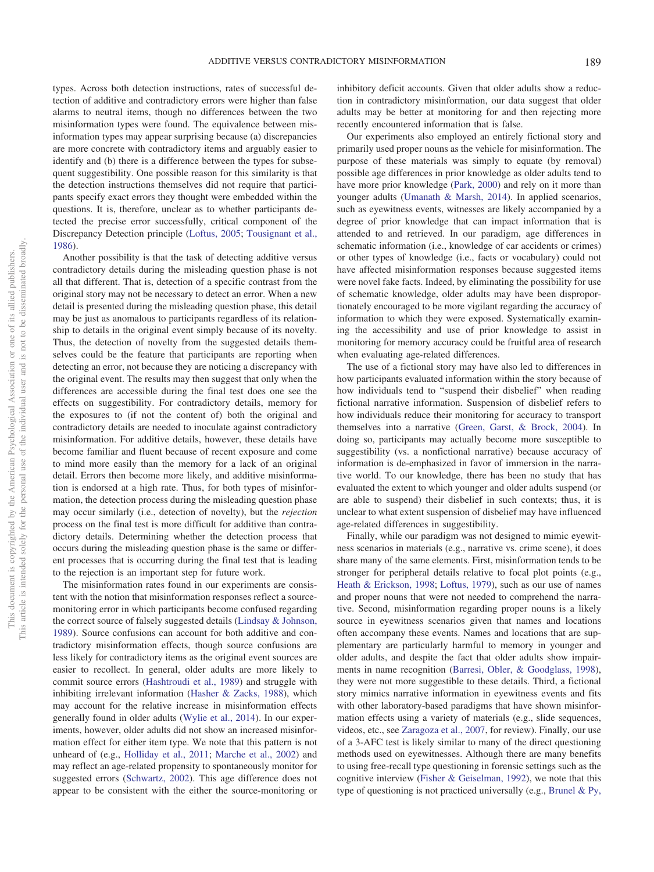types. Across both detection instructions, rates of successful detection of additive and contradictory errors were higher than false alarms to neutral items, though no differences between the two misinformation types were found. The equivalence between misinformation types may appear surprising because (a) discrepancies are more concrete with contradictory items and arguably easier to identify and (b) there is a difference between the types for subsequent suggestibility. One possible reason for this similarity is that the detection instructions themselves did not require that participants specify exact errors they thought were embedded within the questions. It is, therefore, unclear as to whether participants detected the precise error successfully, critical component of the Discrepancy Detection principle [\(Loftus, 2005;](#page-11-11) [Tousignant et al.,](#page-12-6) [1986\)](#page-12-6).

Another possibility is that the task of detecting additive versus contradictory details during the misleading question phase is not all that different. That is, detection of a specific contrast from the original story may not be necessary to detect an error. When a new detail is presented during the misleading question phase, this detail may be just as anomalous to participants regardless of its relationship to details in the original event simply because of its novelty. Thus, the detection of novelty from the suggested details themselves could be the feature that participants are reporting when detecting an error, not because they are noticing a discrepancy with the original event. The results may then suggest that only when the differences are accessible during the final test does one see the effects on suggestibility. For contradictory details, memory for the exposures to (if not the content of) both the original and contradictory details are needed to inoculate against contradictory misinformation. For additive details, however, these details have become familiar and fluent because of recent exposure and come to mind more easily than the memory for a lack of an original detail. Errors then become more likely, and additive misinformation is endorsed at a high rate. Thus, for both types of misinformation, the detection process during the misleading question phase may occur similarly (i.e., detection of novelty), but the *rejection* process on the final test is more difficult for additive than contradictory details. Determining whether the detection process that occurs during the misleading question phase is the same or different processes that is occurring during the final test that is leading to the rejection is an important step for future work.

The misinformation rates found in our experiments are consistent with the notion that misinformation responses reflect a sourcemonitoring error in which participants become confused regarding the correct source of falsely suggested details [\(Lindsay & Johnson,](#page-11-4) [1989\)](#page-11-4). Source confusions can account for both additive and contradictory misinformation effects, though source confusions are less likely for contradictory items as the original event sources are easier to recollect. In general, older adults are more likely to commit source errors [\(Hashtroudi et al., 1989\)](#page-11-24) and struggle with inhibiting irrelevant information [\(Hasher & Zacks, 1988\)](#page-11-16), which may account for the relative increase in misinformation effects generally found in older adults [\(Wylie et al., 2014\)](#page-12-10). In our experiments, however, older adults did not show an increased misinformation effect for either item type. We note that this pattern is not unheard of (e.g., [Holliday et al., 2011;](#page-11-19) [Marche et al., 2002\)](#page-11-20) and may reflect an age-related propensity to spontaneously monitor for suggested errors [\(Schwartz, 2002\)](#page-12-15). This age difference does not appear to be consistent with the either the source-monitoring or

inhibitory deficit accounts. Given that older adults show a reduction in contradictory misinformation, our data suggest that older adults may be better at monitoring for and then rejecting more recently encountered information that is false.

Our experiments also employed an entirely fictional story and primarily used proper nouns as the vehicle for misinformation. The purpose of these materials was simply to equate (by removal) possible age differences in prior knowledge as older adults tend to have more prior knowledge [\(Park, 2000\)](#page-11-31) and rely on it more than younger adults [\(Umanath & Marsh, 2014\)](#page-12-11). In applied scenarios, such as eyewitness events, witnesses are likely accompanied by a degree of prior knowledge that can impact information that is attended to and retrieved. In our paradigm, age differences in schematic information (i.e., knowledge of car accidents or crimes) or other types of knowledge (i.e., facts or vocabulary) could not have affected misinformation responses because suggested items were novel fake facts. Indeed, by eliminating the possibility for use of schematic knowledge, older adults may have been disproportionately encouraged to be more vigilant regarding the accuracy of information to which they were exposed. Systematically examining the accessibility and use of prior knowledge to assist in monitoring for memory accuracy could be fruitful area of research when evaluating age-related differences.

The use of a fictional story may have also led to differences in how participants evaluated information within the story because of how individuals tend to "suspend their disbelief" when reading fictional narrative information. Suspension of disbelief refers to how individuals reduce their monitoring for accuracy to transport themselves into a narrative [\(Green, Garst, & Brock, 2004\)](#page-11-32). In doing so, participants may actually become more susceptible to suggestibility (vs. a nonfictional narrative) because accuracy of information is de-emphasized in favor of immersion in the narrative world. To our knowledge, there has been no study that has evaluated the extent to which younger and older adults suspend (or are able to suspend) their disbelief in such contexts; thus, it is unclear to what extent suspension of disbelief may have influenced age-related differences in suggestibility.

Finally, while our paradigm was not designed to mimic eyewitness scenarios in materials (e.g., narrative vs. crime scene), it does share many of the same elements. First, misinformation tends to be stronger for peripheral details relative to focal plot points (e.g., [Heath & Erickson, 1998;](#page-11-33) [Loftus, 1979\)](#page-11-8), such as our use of names and proper nouns that were not needed to comprehend the narrative. Second, misinformation regarding proper nouns is a likely source in eyewitness scenarios given that names and locations often accompany these events. Names and locations that are supplementary are particularly harmful to memory in younger and older adults, and despite the fact that older adults show impairments in name recognition [\(Barresi, Obler, & Goodglass, 1998\)](#page-10-16), they were not more suggestible to these details. Third, a fictional story mimics narrative information in eyewitness events and fits with other laboratory-based paradigms that have shown misinformation effects using a variety of materials (e.g., slide sequences, videos, etc., see [Zaragoza et al., 2007,](#page-12-1) for review). Finally, our use of a 3-AFC test is likely similar to many of the direct questioning methods used on eyewitnesses. Although there are many benefits to using free-recall type questioning in forensic settings such as the cognitive interview [\(Fisher & Geiselman, 1992\)](#page-10-17), we note that this type of questioning is not practiced universally (e.g., [Brunel & Py,](#page-10-18)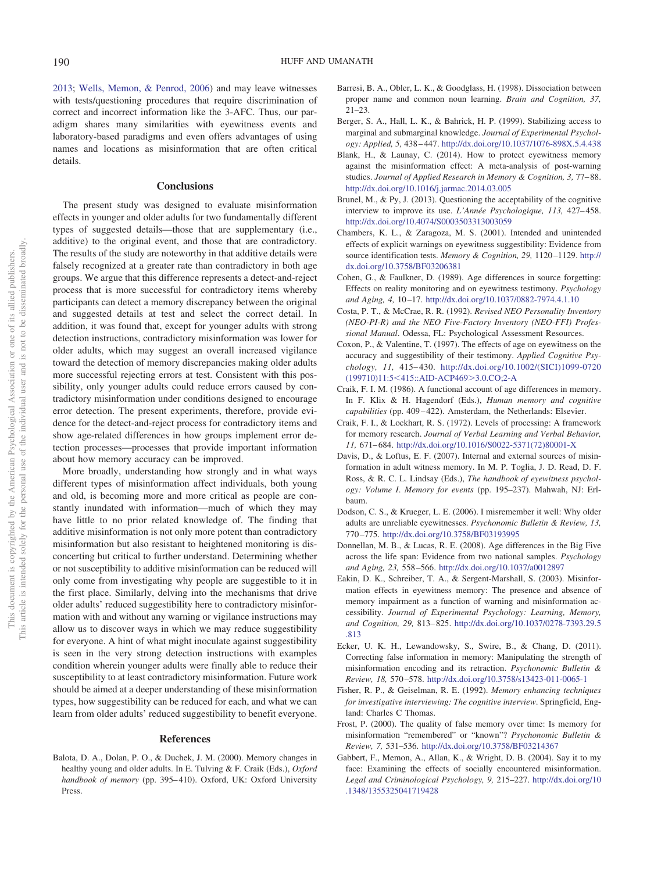[2013;](#page-10-18) [Wells, Memon, & Penrod, 2006\)](#page-12-17) and may leave witnesses with tests/questioning procedures that require discrimination of correct and incorrect information like the 3-AFC. Thus, our paradigm shares many similarities with eyewitness events and laboratory-based paradigms and even offers advantages of using names and locations as misinformation that are often critical details.

#### **Conclusions**

The present study was designed to evaluate misinformation effects in younger and older adults for two fundamentally different types of suggested details—those that are supplementary (i.e., additive) to the original event, and those that are contradictory. The results of the study are noteworthy in that additive details were falsely recognized at a greater rate than contradictory in both age groups. We argue that this difference represents a detect-and-reject process that is more successful for contradictory items whereby participants can detect a memory discrepancy between the original and suggested details at test and select the correct detail. In addition, it was found that, except for younger adults with strong detection instructions, contradictory misinformation was lower for older adults, which may suggest an overall increased vigilance toward the detection of memory discrepancies making older adults more successful rejecting errors at test. Consistent with this possibility, only younger adults could reduce errors caused by contradictory misinformation under conditions designed to encourage error detection. The present experiments, therefore, provide evidence for the detect-and-reject process for contradictory items and show age-related differences in how groups implement error detection processes—processes that provide important information about how memory accuracy can be improved.

More broadly, understanding how strongly and in what ways different types of misinformation affect individuals, both young and old, is becoming more and more critical as people are constantly inundated with information—much of which they may have little to no prior related knowledge of. The finding that additive misinformation is not only more potent than contradictory misinformation but also resistant to heightened monitoring is disconcerting but critical to further understand. Determining whether or not susceptibility to additive misinformation can be reduced will only come from investigating why people are suggestible to it in the first place. Similarly, delving into the mechanisms that drive older adults' reduced suggestibility here to contradictory misinformation with and without any warning or vigilance instructions may allow us to discover ways in which we may reduce suggestibility for everyone. A hint of what might inoculate against suggestibility is seen in the very strong detection instructions with examples condition wherein younger adults were finally able to reduce their susceptibility to at least contradictory misinformation. Future work should be aimed at a deeper understanding of these misinformation types, how suggestibility can be reduced for each, and what we can learn from older adults' reduced suggestibility to benefit everyone.

#### **References**

<span id="page-10-5"></span>Balota, D. A., Dolan, P. O., & Duchek, J. M. (2000). Memory changes in healthy young and older adults. In E. Tulving & F. Craik (Eds.), *Oxford handbook of memory* (pp. 395– 410). Oxford, UK: Oxford University Press.

- <span id="page-10-16"></span>Barresi, B. A., Obler, L. K., & Goodglass, H. (1998). Dissociation between proper name and common noun learning. *Brain and Cognition, 37,* 21–23.
- <span id="page-10-10"></span>Berger, S. A., Hall, L. K., & Bahrick, H. P. (1999). Stabilizing access to marginal and submarginal knowledge. *Journal of Experimental Psychology: Applied, 5,* 438 – 447. <http://dx.doi.org/10.1037/1076-898X.5.4.438>
- <span id="page-10-15"></span>Blank, H., & Launay, C. (2014). How to protect eyewitness memory against the misinformation effect: A meta-analysis of post-warning studies. *Journal of Applied Research in Memory & Cognition, 3,* 77– 88. <http://dx.doi.org/10.1016/j.jarmac.2014.03.005>
- <span id="page-10-18"></span>Brunel, M., & Py, J. (2013). Questioning the acceptability of the cognitive interview to improve its use. *L'Année Psychologique, 113,* 427– 458. <http://dx.doi.org/10.4074/S0003503313003059>
- <span id="page-10-1"></span>Chambers, K. L., & Zaragoza, M. S. (2001). Intended and unintended effects of explicit warnings on eyewitness suggestibility: Evidence from source identification tests. Memory & Cognition, 29, 1120-1129. [http://](http://dx.doi.org/10.3758/BF03206381) [dx.doi.org/10.3758/BF03206381](http://dx.doi.org/10.3758/BF03206381)
- <span id="page-10-6"></span>Cohen, G., & Faulkner, D. (1989). Age differences in source forgetting: Effects on reality monitoring and on eyewitness testimony. *Psychology and Aging, 4,* 10 –17. <http://dx.doi.org/10.1037/0882-7974.4.1.10>
- <span id="page-10-13"></span>Costa, P. T., & McCrae, R. R. (1992). *Revised NEO Personality Inventory (NEO-PI-R) and the NEO Five-Factory Inventory (NEO-FFI) Professional Manual*. Odessa, FL: Psychological Assessment Resources.
- <span id="page-10-7"></span>Coxon, P., & Valentine, T. (1997). The effects of age on eyewitness on the accuracy and suggestibility of their testimony. *Applied Cognitive Psychology, 11,* 415– 430. [http://dx.doi.org/10.1002/\(SICI\)1099-0720](http://dx.doi.org/10.1002/%28SICI%291099-0720%28199710%2911:5%3C415::AID-ACP469%3E3.0.CO;2-A) (199710)11:5<[415::AID-ACP469](http://dx.doi.org/10.1002/%28SICI%291099-0720%28199710%2911:5%3C415::AID-ACP469%3E3.0.CO;2-A)>3.0.CO;2-A
- <span id="page-10-11"></span>Craik, F. I. M. (1986). A functional account of age differences in memory. In F. Klix & H. Hagendorf (Eds.), *Human memory and cognitive capabilities* (pp. 409 – 422). Amsterdam, the Netherlands: Elsevier.
- <span id="page-10-0"></span>Craik, F. I., & Lockhart, R. S. (1972). Levels of processing: A framework for memory research. *Journal of Verbal Learning and Verbal Behavior, 11,* 671– 684. [http://dx.doi.org/10.1016/S0022-5371\(72\)80001-X](http://dx.doi.org/10.1016/S0022-5371%2872%2980001-X)
- <span id="page-10-2"></span>Davis, D., & Loftus, E. F. (2007). Internal and external sources of misinformation in adult witness memory. In M. P. Toglia, J. D. Read, D. F. Ross, & R. C. L. Lindsay (Eds.), *The handbook of eyewitness psychology: Volume I*. *Memory for events* (pp. 195–237). Mahwah, NJ: Erlbaum.
- <span id="page-10-8"></span>Dodson, C. S., & Krueger, L. E. (2006). I misremember it well: Why older adults are unreliable eyewitnesses. *Psychonomic Bulletin & Review, 13,* 770 –775. <http://dx.doi.org/10.3758/BF03193995>
- <span id="page-10-12"></span>Donnellan, M. B., & Lucas, R. E. (2008). Age differences in the Big Five across the life span: Evidence from two national samples. *Psychology and Aging, 23,* 558 –566. <http://dx.doi.org/10.1037/a0012897>
- <span id="page-10-14"></span>Eakin, D. K., Schreiber, T. A., & Sergent-Marshall, S. (2003). Misinformation effects in eyewitness memory: The presence and absence of memory impairment as a function of warning and misinformation accessibility. *Journal of Experimental Psychology: Learning, Memory, and Cognition, 29,* 813– 825. [http://dx.doi.org/10.1037/0278-7393.29.5](http://dx.doi.org/10.1037/0278-7393.29.5.813) [.813](http://dx.doi.org/10.1037/0278-7393.29.5.813)
- <span id="page-10-3"></span>Ecker, U. K. H., Lewandowsky, S., Swire, B., & Chang, D. (2011). Correcting false information in memory: Manipulating the strength of misinformation encoding and its retraction. *Psychonomic Bulletin & Review, 18,* 570 –578. <http://dx.doi.org/10.3758/s13423-011-0065-1>
- <span id="page-10-17"></span>Fisher, R. P., & Geiselman, R. E. (1992). *Memory enhancing techniques for investigative interviewing: The cognitive interview*. Springfield, England: Charles C Thomas.
- <span id="page-10-4"></span>Frost, P. (2000). The quality of false memory over time: Is memory for misinformation "remembered" or "known"? *Psychonomic Bulletin & Review, 7,* 531–536. <http://dx.doi.org/10.3758/BF03214367>
- <span id="page-10-9"></span>Gabbert, F., Memon, A., Allan, K., & Wright, D. B. (2004). Say it to my face: Examining the effects of socially encountered misinformation. *Legal and Criminological Psychology, 9,* 215–227. [http://dx.doi.org/10](http://dx.doi.org/10.1348/1355325041719428) [.1348/1355325041719428](http://dx.doi.org/10.1348/1355325041719428)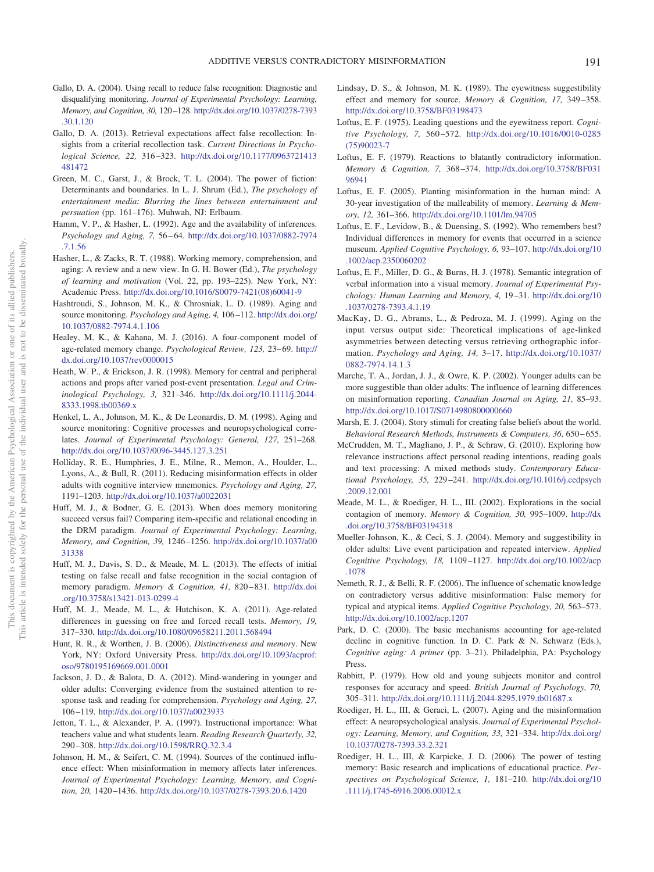- <span id="page-11-12"></span>Gallo, D. A. (2004). Using recall to reduce false recognition: Diagnostic and disqualifying monitoring. *Journal of Experimental Psychology: Learning, Memory, and Cognition, 30,* 120 –128. [http://dx.doi.org/10.1037/0278-7393](http://dx.doi.org/10.1037/0278-7393.30.1.120) [.30.1.120](http://dx.doi.org/10.1037/0278-7393.30.1.120)
- <span id="page-11-13"></span>Gallo, D. A. (2013). Retrieval expectations affect false recollection: Insights from a criterial recollection task. *Current Directions in Psychological Science, 22,* 316 –323. [http://dx.doi.org/10.1177/0963721413](http://dx.doi.org/10.1177/0963721413481472) [481472](http://dx.doi.org/10.1177/0963721413481472)
- <span id="page-11-32"></span>Green, M. C., Garst, J., & Brock, T. L. (2004). The power of fiction: Determinants and boundaries. In L. J. Shrum (Ed.), *The psychology of entertainment media: Blurring the lines between entertainment and persuation* (pp. 161–176). Muhwah, NJ: Erlbaum.
- <span id="page-11-22"></span>Hamm, V. P., & Hasher, L. (1992). Age and the availability of inferences. *Psychology and Aging, 7,* 56 – 64. [http://dx.doi.org/10.1037/0882-7974](http://dx.doi.org/10.1037/0882-7974.7.1.56) [.7.1.56](http://dx.doi.org/10.1037/0882-7974.7.1.56)
- <span id="page-11-16"></span>Hasher, L., & Zacks, R. T. (1988). Working memory, comprehension, and aging: A review and a new view. In G. H. Bower (Ed.), *The psychology of learning and motivation* (Vol. 22, pp. 193–225). New York, NY: Academic Press. [http://dx.doi.org/10.1016/S0079-7421\(08\)60041-9](http://dx.doi.org/10.1016/S0079-7421%2808%2960041-9)
- <span id="page-11-24"></span>Hashtroudi, S., Johnson, M. K., & Chrosniak, L. D. (1989). Aging and source monitoring. *Psychology and Aging, 4,* 106 –112. [http://dx.doi.org/](http://dx.doi.org/10.1037/0882-7974.4.1.106) [10.1037/0882-7974.4.1.106](http://dx.doi.org/10.1037/0882-7974.4.1.106)
- <span id="page-11-15"></span>Healey, M. K., & Kahana, M. J. (2016). A four-component model of age-related memory change. *Psychological Review, 123,* 23– 69. [http://](http://dx.doi.org/10.1037/rev0000015) [dx.doi.org/10.1037/rev0000015](http://dx.doi.org/10.1037/rev0000015)
- <span id="page-11-33"></span>Heath, W. P., & Erickson, J. R. (1998). Memory for central and peripheral actions and props after varied post-event presentation. *Legal and Criminological Psychology, 3,* 321–346. [http://dx.doi.org/10.1111/j.2044-](http://dx.doi.org/10.1111/j.2044-8333.1998.tb00369.x) [8333.1998.tb00369.x](http://dx.doi.org/10.1111/j.2044-8333.1998.tb00369.x)
- <span id="page-11-17"></span>Henkel, L. A., Johnson, M. K., & De Leonardis, D. M. (1998). Aging and source monitoring: Cognitive processes and neuropsychological correlates. *Journal of Experimental Psychology: General, 127,* 251–268. <http://dx.doi.org/10.1037/0096-3445.127.3.251>
- <span id="page-11-19"></span>Holliday, R. E., Humphries, J. E., Milne, R., Memon, A., Houlder, L., Lyons, A., & Bull, R. (2011). Reducing misinformation effects in older adults with cognitive interview mnemonics. *Psychology and Aging, 27,* 1191–1203. <http://dx.doi.org/10.1037/a0022031>
- <span id="page-11-0"></span>Huff, M. J., & Bodner, G. E. (2013). When does memory monitoring succeed versus fail? Comparing item-specific and relational encoding in the DRM paradigm. *Journal of Experimental Psychology: Learning, Memory, and Cognition, 39,* 1246 –1256. [http://dx.doi.org/10.1037/a00](http://dx.doi.org/10.1037/a0031338) [31338](http://dx.doi.org/10.1037/a0031338)
- <span id="page-11-30"></span>Huff, M. J., Davis, S. D., & Meade, M. L. (2013). The effects of initial testing on false recall and false recognition in the social contagion of memory paradigm. *Memory & Cognition, 41,* 820 – 831. [http://dx.doi](http://dx.doi.org/10.3758/s13421-013-0299-4) [.org/10.3758/s13421-013-0299-4](http://dx.doi.org/10.3758/s13421-013-0299-4)
- <span id="page-11-3"></span>Huff, M. J., Meade, M. L., & Hutchison, K. A. (2011). Age-related differences in guessing on free and forced recall tests. *Memory, 19,* 317–330. <http://dx.doi.org/10.1080/09658211.2011.568494>
- <span id="page-11-1"></span>Hunt, R. R., & Worthen, J. B. (2006). *Distinctiveness and memory*. New York, NY: Oxford University Press. [http://dx.doi.org/10.1093/acprof:](http://dx.doi.org/10.1093/acprof:oso/9780195169669.001.0001) [oso/9780195169669.001.0001](http://dx.doi.org/10.1093/acprof:oso/9780195169669.001.0001)
- <span id="page-11-27"></span>Jackson, J. D., & Balota, D. A. (2012). Mind-wandering in younger and older adults: Converging evidence from the sustained attention to response task and reading for comprehension. *Psychology and Aging, 27,* 106 –119. <http://dx.doi.org/10.1037/a0023933>
- <span id="page-11-28"></span>Jetton, T. L., & Alexander, P. A. (1997). Instructional importance: What teachers value and what students learn. *Reading Research Quarterly, 32,* 290 –308. <http://dx.doi.org/10.1598/RRQ.32.3.4>
- <span id="page-11-7"></span>Johnson, H. M., & Seifert, C. M. (1994). Sources of the continued influence effect: When misinformation in memory affects later inferences. *Journal of Experimental Psychology: Learning, Memory, and Cognition, 20,* 1420 –1436. <http://dx.doi.org/10.1037/0278-7393.20.6.1420>
- <span id="page-11-4"></span>Lindsay, D. S., & Johnson, M. K. (1989). The eyewitness suggestibility effect and memory for source. *Memory & Cognition, 17,* 349 –358. <http://dx.doi.org/10.3758/BF03198473>
- <span id="page-11-9"></span>Loftus, E. F. (1975). Leading questions and the eyewitness report. *Cognitive Psychology, 7,* 560 –572. [http://dx.doi.org/10.1016/0010-0285](http://dx.doi.org/10.1016/0010-0285%2875%2990023-7) [\(75\)90023-7](http://dx.doi.org/10.1016/0010-0285%2875%2990023-7)
- <span id="page-11-8"></span>Loftus, E. F. (1979). Reactions to blatantly contradictory information. *Memory & Cognition, 7,* 368 –374. [http://dx.doi.org/10.3758/BF031](http://dx.doi.org/10.3758/BF03196941) [96941](http://dx.doi.org/10.3758/BF03196941)
- <span id="page-11-11"></span>Loftus, E. F. (2005). Planting misinformation in the human mind: A 30-year investigation of the malleability of memory. *Learning & Memory, 12,* 361–366. <http://dx.doi.org/10.1101/lm.94705>
- <span id="page-11-18"></span>Loftus, E. F., Levidow, B., & Duensing, S. (1992). Who remembers best? Individual differences in memory for events that occurred in a science museum. *Applied Cognitive Psychology, 6,* 93–107. [http://dx.doi.org/10](http://dx.doi.org/10.1002/acp.2350060202) [.1002/acp.2350060202](http://dx.doi.org/10.1002/acp.2350060202)
- <span id="page-11-5"></span>Loftus, E. F., Miller, D. G., & Burns, H. J. (1978). Semantic integration of verbal information into a visual memory. *Journal of Experimental Psychology: Human Learning and Memory, 4,* 19 –31. [http://dx.doi.org/10](http://dx.doi.org/10.1037/0278-7393.4.1.19) [.1037/0278-7393.4.1.19](http://dx.doi.org/10.1037/0278-7393.4.1.19)
- <span id="page-11-25"></span>MacKay, D. G., Abrams, L., & Pedroza, M. J. (1999). Aging on the input versus output side: Theoretical implications of age-linked asymmetries between detecting versus retrieving orthographic information. *Psychology and Aging, 14,* 3–17. [http://dx.doi.org/10.1037/](http://dx.doi.org/10.1037/0882-7974.14.1.3) [0882-7974.14.1.3](http://dx.doi.org/10.1037/0882-7974.14.1.3)
- <span id="page-11-20"></span>Marche, T. A., Jordan, J. J., & Owre, K. P. (2002). Younger adults can be more suggestible than older adults: The influence of learning differences on misinformation reporting. *Canadian Journal on Aging, 21,* 85–93. <http://dx.doi.org/10.1017/S0714980800000660>
- <span id="page-11-23"></span>Marsh, E. J. (2004). Story stimuli for creating false beliefs about the world. *Behavioral Research Methods, Instruments & Computers, 36,* 650 – 655.
- <span id="page-11-29"></span>McCrudden, M. T., Magliano, J. P., & Schraw, G. (2010). Exploring how relevance instructions affect personal reading intentions, reading goals and text processing: A mixed methods study. *Contemporary Educational Psychology, 35,* 229 –241. [http://dx.doi.org/10.1016/j.cedpsych](http://dx.doi.org/10.1016/j.cedpsych.2009.12.001) [.2009.12.001](http://dx.doi.org/10.1016/j.cedpsych.2009.12.001)
- <span id="page-11-10"></span>Meade, M. L., & Roediger, H. L., III. (2002). Explorations in the social contagion of memory. *Memory & Cognition, 30,* 995–1009. [http://dx](http://dx.doi.org/10.3758/BF03194318) [.doi.org/10.3758/BF03194318](http://dx.doi.org/10.3758/BF03194318)
- <span id="page-11-6"></span>Mueller-Johnson, K., & Ceci, S. J. (2004). Memory and suggestibility in older adults: Live event participation and repeated interview. *Applied Cognitive Psychology, 18,* 1109 –1127. [http://dx.doi.org/10.1002/acp](http://dx.doi.org/10.1002/acp.1078) [.1078](http://dx.doi.org/10.1002/acp.1078)
- <span id="page-11-14"></span>Nemeth, R. J., & Belli, R. F. (2006). The influence of schematic knowledge on contradictory versus additive misinformation: False memory for typical and atypical items. *Applied Cognitive Psychology, 20,* 563–573. <http://dx.doi.org/10.1002/acp.1207>
- <span id="page-11-31"></span>Park, D. C. (2000). The basic mechanisms accounting for age-related decline in cognitive function. In D. C. Park & N. Schwarz (Eds.), *Cognitive aging: A primer* (pp. 3–21). Philadelphia, PA: Psychology Press.
- <span id="page-11-26"></span>Rabbitt, P. (1979). How old and young subjects monitor and control responses for accuracy and speed. *British Journal of Psychology, 70,* 305–311. <http://dx.doi.org/10.1111/j.2044-8295.1979.tb01687.x>
- <span id="page-11-21"></span>Roediger, H. L., III, & Geraci, L. (2007). Aging and the misinformation effect: A neuropsychological analysis. *Journal of Experimental Psychology: Learning, Memory, and Cognition, 33,* 321–334. [http://dx.doi.org/](http://dx.doi.org/10.1037/0278-7393.33.2.321) [10.1037/0278-7393.33.2.321](http://dx.doi.org/10.1037/0278-7393.33.2.321)
- <span id="page-11-2"></span>Roediger, H. L., III, & Karpicke, J. D. (2006). The power of testing memory: Basic research and implications of educational practice. *Perspectives on Psychological Science, 1,* 181–210. [http://dx.doi.org/10](http://dx.doi.org/10.1111/j.1745-6916.2006.00012.x) [.1111/j.1745-6916.2006.00012.x](http://dx.doi.org/10.1111/j.1745-6916.2006.00012.x)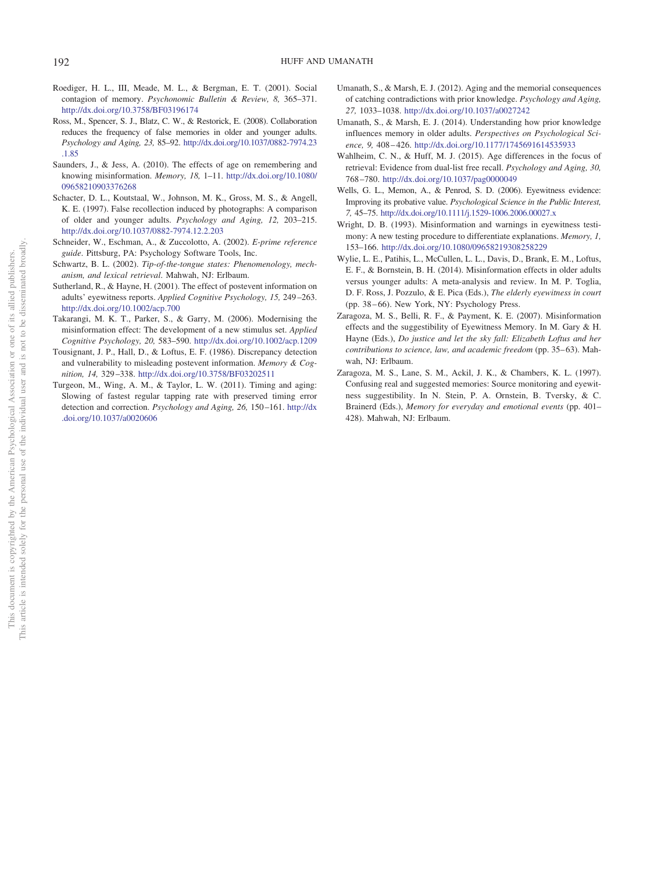- <span id="page-12-7"></span>Roediger, H. L., III, Meade, M. L., & Bergman, E. T. (2001). Social contagion of memory. *Psychonomic Bulletin & Review, 8,* 365–371. <http://dx.doi.org/10.3758/BF03196174>
- <span id="page-12-9"></span>Ross, M., Spencer, S. J., Blatz, C. W., & Restorick, E. (2008). Collaboration reduces the frequency of false memories in older and younger adults. *Psychology and Aging, 23,* 85–92. [http://dx.doi.org/10.1037/0882-7974.23](http://dx.doi.org/10.1037/0882-7974.23.1.85) [.1.85](http://dx.doi.org/10.1037/0882-7974.23.1.85)
- <span id="page-12-3"></span>Saunders, J., & Jess, A. (2010). The effects of age on remembering and knowing misinformation. *Memory, 18,* 1–11. [http://dx.doi.org/10.1080/](http://dx.doi.org/10.1080/09658210903376268) [09658210903376268](http://dx.doi.org/10.1080/09658210903376268)
- <span id="page-12-4"></span>Schacter, D. L., Koutstaal, W., Johnson, M. K., Gross, M. S., & Angell, K. E. (1997). False recollection induced by photographs: A comparison of older and younger adults. *Psychology and Aging, 12,* 203–215. <http://dx.doi.org/10.1037/0882-7974.12.2.203>
- <span id="page-12-12"></span>Schneider, W., Eschman, A., & Zuccolotto, A. (2002). *E-prime reference guide*. Pittsburg, PA: Psychology Software Tools, Inc.
- <span id="page-12-15"></span>Schwartz, B. L. (2002). *Tip-of-the-tongue states: Phenomenology, mechanism, and lexical retrieval*. Mahwah, NJ: Erlbaum.
- <span id="page-12-5"></span>Sutherland, R., & Hayne, H. (2001). The effect of postevent information on adults' eyewitness reports. *Applied Cognitive Psychology, 15,* 249 –263. <http://dx.doi.org/10.1002/acp.700>
- <span id="page-12-2"></span>Takarangi, M. K. T., Parker, S., & Garry, M. (2006). Modernising the misinformation effect: The development of a new stimulus set. *Applied Cognitive Psychology, 20,* 583–590. <http://dx.doi.org/10.1002/acp.1209>
- <span id="page-12-6"></span>Tousignant, J. P., Hall, D., & Loftus, E. F. (1986). Discrepancy detection and vulnerability to misleading postevent information. *Memory & Cognition, 14,* 329 –338. <http://dx.doi.org/10.3758/BF03202511>
- <span id="page-12-13"></span>Turgeon, M., Wing, A. M., & Taylor, L. W. (2011). Timing and aging: Slowing of fastest regular tapping rate with preserved timing error detection and correction. *Psychology and Aging, 26, 150–161*. [http://dx](http://dx.doi.org/10.1037/a0020606) [.doi.org/10.1037/a0020606](http://dx.doi.org/10.1037/a0020606)
- <span id="page-12-14"></span>Umanath, S., & Marsh, E. J. (2012). Aging and the memorial consequences of catching contradictions with prior knowledge. *Psychology and Aging, 27,* 1033–1038. <http://dx.doi.org/10.1037/a0027242>
- <span id="page-12-11"></span>Umanath, S., & Marsh, E. J. (2014). Understanding how prior knowledge influences memory in older adults. *Perspectives on Psychological Science, 9,* 408 – 426. <http://dx.doi.org/10.1177/1745691614535933>
- <span id="page-12-8"></span>Wahlheim, C. N., & Huff, M. J. (2015). Age differences in the focus of retrieval: Evidence from dual-list free recall. *Psychology and Aging, 30,* 768 –780. <http://dx.doi.org/10.1037/pag0000049>
- <span id="page-12-17"></span>Wells, G. L., Memon, A., & Penrod, S. D. (2006). Eyewitness evidence: Improving its probative value. *Psychological Science in the Public Interest, 7,* 45–75. <http://dx.doi.org/10.1111/j.1529-1006.2006.00027.x>
- <span id="page-12-16"></span>Wright, D. B. (1993). Misinformation and warnings in eyewitness testimony: A new testing procedure to differentiate explanations. *Memory, 1,* 153–166. <http://dx.doi.org/10.1080/09658219308258229>
- <span id="page-12-10"></span>Wylie, L. E., Patihis, L., McCullen, L. L., Davis, D., Brank, E. M., Loftus, E. F., & Bornstein, B. H. (2014). Misinformation effects in older adults versus younger adults: A meta-analysis and review. In M. P. Toglia, D. F. Ross, J. Pozzulo, & E. Pica (Eds.), *The elderly eyewitness in court* (pp. 38-66). New York, NY: Psychology Press.
- <span id="page-12-1"></span>Zaragoza, M. S., Belli, R. F., & Payment, K. E. (2007). Misinformation effects and the suggestibility of Eyewitness Memory. In M. Gary & H. Hayne (Eds.), *Do justice and let the sky fall: Elizabeth Loftus and her contributions to science, law, and academic freedom* (pp. 35–63). Mahwah, NJ: Erlbaum.
- <span id="page-12-0"></span>Zaragoza, M. S., Lane, S. M., Ackil, J. K., & Chambers, K. L. (1997). Confusing real and suggested memories: Source monitoring and eyewitness suggestibility. In N. Stein, P. A. Ornstein, B. Tversky, & C. Brainerd (Eds.), *Memory for everyday and emotional events* (pp. 401– 428). Mahwah, NJ: Erlbaum.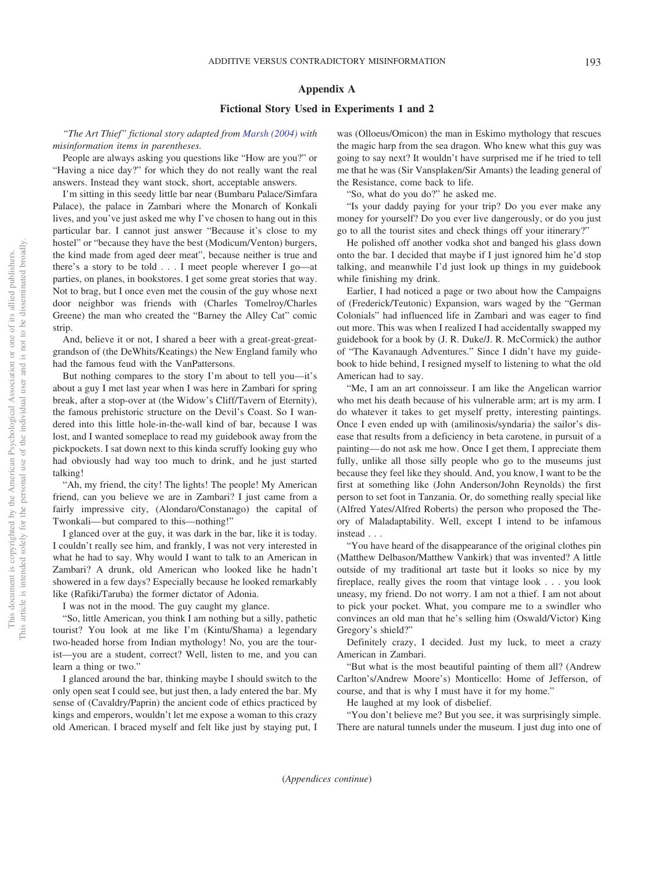# <span id="page-13-0"></span>**Appendix A**

# **Fictional Story Used in Experiments 1 and 2**

*"The Art Thief" fictional story adapted from [Marsh \(2004\)](#page-11-23) with misinformation items in parentheses.*

People are always asking you questions like "How are you?" or "Having a nice day?" for which they do not really want the real answers. Instead they want stock, short, acceptable answers.

I'm sitting in this seedy little bar near (Bumbaru Palace/Simfara Palace), the palace in Zambari where the Monarch of Konkali lives, and you've just asked me why I've chosen to hang out in this particular bar. I cannot just answer "Because it's close to my hostel" or "because they have the best (Modicum/Venton) burgers, the kind made from aged deer meat", because neither is true and there's a story to be told...I meet people wherever I go—at parties, on planes, in bookstores. I get some great stories that way. Not to brag, but I once even met the cousin of the guy whose next door neighbor was friends with (Charles Tomelroy/Charles Greene) the man who created the "Barney the Alley Cat" comic strip.

And, believe it or not, I shared a beer with a great-great-greatgrandson of (the DeWhits/Keatings) the New England family who had the famous feud with the VanPattersons.

But nothing compares to the story I'm about to tell you—it's about a guy I met last year when I was here in Zambari for spring break, after a stop-over at (the Widow's Cliff/Tavern of Eternity), the famous prehistoric structure on the Devil's Coast. So I wandered into this little hole-in-the-wall kind of bar, because I was lost, and I wanted someplace to read my guidebook away from the pickpockets. I sat down next to this kinda scruffy looking guy who had obviously had way too much to drink, and he just started talking!

"Ah, my friend, the city! The lights! The people! My American friend, can you believe we are in Zambari? I just came from a fairly impressive city, (Alondaro/Constanago) the capital of Twonkali— but compared to this—nothing!"

I glanced over at the guy, it was dark in the bar, like it is today. I couldn't really see him, and frankly, I was not very interested in what he had to say. Why would I want to talk to an American in Zambari? A drunk, old American who looked like he hadn't showered in a few days? Especially because he looked remarkably like (Rafiki/Taruba) the former dictator of Adonia.

I was not in the mood. The guy caught my glance.

"So, little American, you think I am nothing but a silly, pathetic tourist? You look at me like I'm (Kintu/Shama) a legendary two-headed horse from Indian mythology! No, you are the tourist—you are a student, correct? Well, listen to me, and you can learn a thing or two."

I glanced around the bar, thinking maybe I should switch to the only open seat I could see, but just then, a lady entered the bar. My sense of (Cavaldry/Paprin) the ancient code of ethics practiced by kings and emperors, wouldn't let me expose a woman to this crazy old American. I braced myself and felt like just by staying put, I was (Olloeus/Omicon) the man in Eskimo mythology that rescues the magic harp from the sea dragon. Who knew what this guy was going to say next? It wouldn't have surprised me if he tried to tell me that he was (Sir Vansplaken/Sir Amants) the leading general of the Resistance, come back to life.

"So, what do you do?" he asked me.

"Is your daddy paying for your trip? Do you ever make any money for yourself? Do you ever live dangerously, or do you just go to all the tourist sites and check things off your itinerary?"

He polished off another vodka shot and banged his glass down onto the bar. I decided that maybe if I just ignored him he'd stop talking, and meanwhile I'd just look up things in my guidebook while finishing my drink.

Earlier, I had noticed a page or two about how the Campaigns of (Frederick/Teutonic) Expansion, wars waged by the "German Colonials" had influenced life in Zambari and was eager to find out more. This was when I realized I had accidentally swapped my guidebook for a book by (J. R. Duke/J. R. McCormick) the author of "The Kavanaugh Adventures." Since I didn't have my guidebook to hide behind, I resigned myself to listening to what the old American had to say.

"Me, I am an art connoisseur. I am like the Angelican warrior who met his death because of his vulnerable arm; art is my arm. I do whatever it takes to get myself pretty, interesting paintings. Once I even ended up with (amilinosis/syndaria) the sailor's disease that results from a deficiency in beta carotene, in pursuit of a painting— do not ask me how. Once I get them, I appreciate them fully, unlike all those silly people who go to the museums just because they feel like they should. And, you know, I want to be the first at something like (John Anderson/John Reynolds) the first person to set foot in Tanzania. Or, do something really special like (Alfred Yates/Alfred Roberts) the person who proposed the Theory of Maladaptability. Well, except I intend to be infamous instead...

"You have heard of the disappearance of the original clothes pin (Matthew Delbason/Matthew Vankirk) that was invented? A little outside of my traditional art taste but it looks so nice by my fireplace, really gives the room that vintage look . . . you look uneasy, my friend. Do not worry. I am not a thief. I am not about to pick your pocket. What, you compare me to a swindler who convinces an old man that he's selling him (Oswald/Victor) King Gregory's shield?"

Definitely crazy, I decided. Just my luck, to meet a crazy American in Zambari.

"But what is the most beautiful painting of them all? (Andrew Carlton's/Andrew Moore's) Monticello: Home of Jefferson, of course, and that is why I must have it for my home."

He laughed at my look of disbelief.

"You don't believe me? But you see, it was surprisingly simple. There are natural tunnels under the museum. I just dug into one of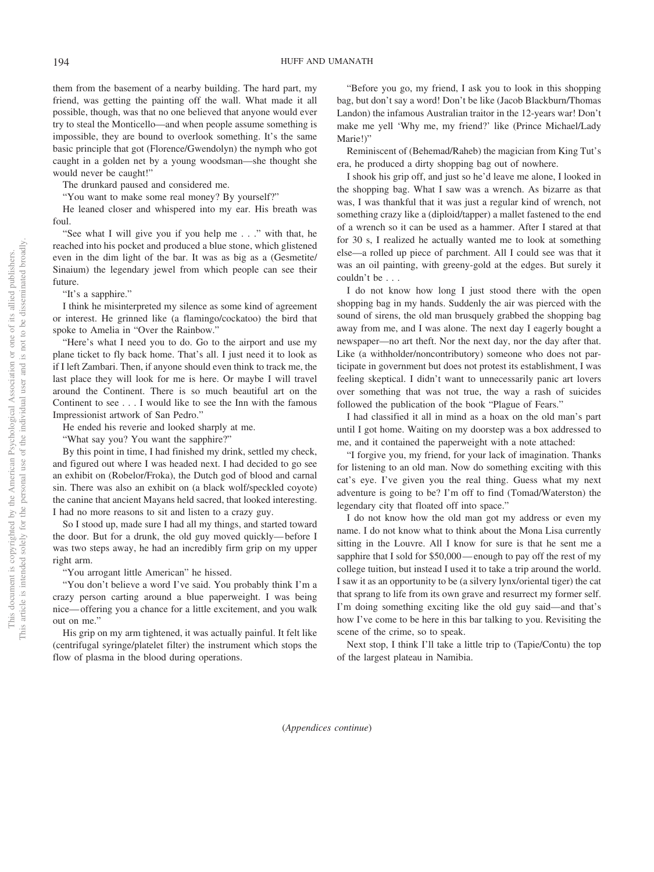them from the basement of a nearby building. The hard part, my friend, was getting the painting off the wall. What made it all possible, though, was that no one believed that anyone would ever try to steal the Monticello—and when people assume something is impossible, they are bound to overlook something. It's the same basic principle that got (Florence/Gwendolyn) the nymph who got caught in a golden net by a young woodsman—she thought she would never be caught!"

The drunkard paused and considered me.

"You want to make some real money? By yourself?"

He leaned closer and whispered into my ear. His breath was foul.

"See what I will give you if you help me . . ." with that, he reached into his pocket and produced a blue stone, which glistened even in the dim light of the bar. It was as big as a (Gesmetite/ Sinaium) the legendary jewel from which people can see their future.

"It's a sapphire."

I think he misinterpreted my silence as some kind of agreement or interest. He grinned like (a flamingo/cockatoo) the bird that spoke to Amelia in "Over the Rainbow."

"Here's what I need you to do. Go to the airport and use my plane ticket to fly back home. That's all. I just need it to look as if I left Zambari. Then, if anyone should even think to track me, the last place they will look for me is here. Or maybe I will travel around the Continent. There is so much beautiful art on the Continent to see...I would like to see the Inn with the famous Impressionist artwork of San Pedro."

He ended his reverie and looked sharply at me.

"What say you? You want the sapphire?"

By this point in time, I had finished my drink, settled my check, and figured out where I was headed next. I had decided to go see an exhibit on (Robelor/Froka), the Dutch god of blood and carnal sin. There was also an exhibit on (a black wolf/speckled coyote) the canine that ancient Mayans held sacred, that looked interesting. I had no more reasons to sit and listen to a crazy guy.

So I stood up, made sure I had all my things, and started toward the door. But for a drunk, the old guy moved quickly— before I was two steps away, he had an incredibly firm grip on my upper right arm.

"You arrogant little American" he hissed.

"You don't believe a word I've said. You probably think I'm a crazy person carting around a blue paperweight. I was being nice— offering you a chance for a little excitement, and you walk out on me."

His grip on my arm tightened, it was actually painful. It felt like (centrifugal syringe/platelet filter) the instrument which stops the flow of plasma in the blood during operations.

"Before you go, my friend, I ask you to look in this shopping bag, but don't say a word! Don't be like (Jacob Blackburn/Thomas Landon) the infamous Australian traitor in the 12-years war! Don't make me yell 'Why me, my friend?' like (Prince Michael/Lady Marie!)"

Reminiscent of (Behemad/Raheb) the magician from King Tut's era, he produced a dirty shopping bag out of nowhere.

I shook his grip off, and just so he'd leave me alone, I looked in the shopping bag. What I saw was a wrench. As bizarre as that was, I was thankful that it was just a regular kind of wrench, not something crazy like a (diploid/tapper) a mallet fastened to the end of a wrench so it can be used as a hammer. After I stared at that for 30 s, I realized he actually wanted me to look at something else—a rolled up piece of parchment. All I could see was that it was an oil painting, with greeny-gold at the edges. But surely it couldn't be...

I do not know how long I just stood there with the open shopping bag in my hands. Suddenly the air was pierced with the sound of sirens, the old man brusquely grabbed the shopping bag away from me, and I was alone. The next day I eagerly bought a newspaper—no art theft. Nor the next day, nor the day after that. Like (a withholder/noncontributory) someone who does not participate in government but does not protest its establishment, I was feeling skeptical. I didn't want to unnecessarily panic art lovers over something that was not true, the way a rash of suicides followed the publication of the book "Plague of Fears."

I had classified it all in mind as a hoax on the old man's part until I got home. Waiting on my doorstep was a box addressed to me, and it contained the paperweight with a note attached:

"I forgive you, my friend, for your lack of imagination. Thanks for listening to an old man. Now do something exciting with this cat's eye. I've given you the real thing. Guess what my next adventure is going to be? I'm off to find (Tomad/Waterston) the legendary city that floated off into space."

I do not know how the old man got my address or even my name. I do not know what to think about the Mona Lisa currently sitting in the Louvre. All I know for sure is that he sent me a sapphire that I sold for \$50,000—enough to pay off the rest of my college tuition, but instead I used it to take a trip around the world. I saw it as an opportunity to be (a silvery lynx/oriental tiger) the cat that sprang to life from its own grave and resurrect my former self. I'm doing something exciting like the old guy said—and that's how I've come to be here in this bar talking to you. Revisiting the scene of the crime, so to speak.

Next stop, I think I'll take a little trip to (Tapie/Contu) the top of the largest plateau in Namibia.

(*Appendices continue*)